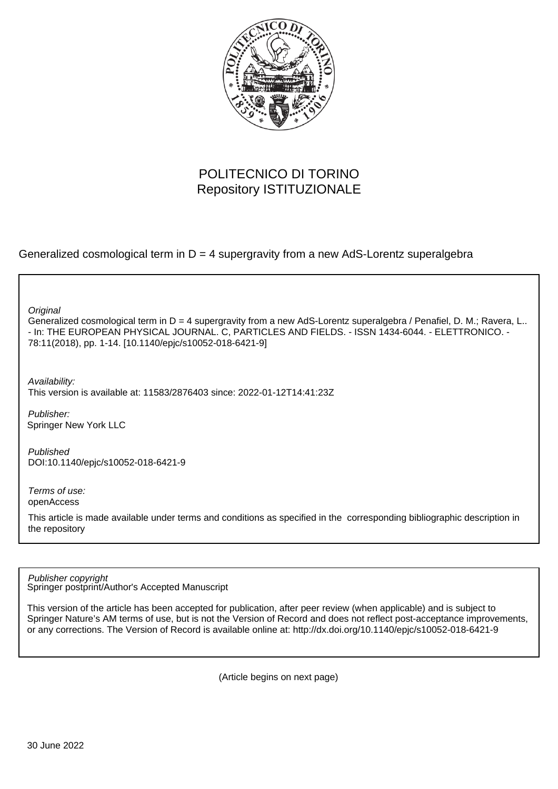

## POLITECNICO DI TORINO Repository ISTITUZIONALE

Generalized cosmological term in  $D = 4$  supergravity from a new AdS-Lorentz superalgebra

**Original** 

Generalized cosmological term in D = 4 supergravity from a new AdS-Lorentz superalgebra / Penafiel, D. M.; Ravera, L.. - In: THE EUROPEAN PHYSICAL JOURNAL. C, PARTICLES AND FIELDS. - ISSN 1434-6044. - ELETTRONICO. - 78:11(2018), pp. 1-14. [10.1140/epjc/s10052-018-6421-9]

Availability:

This version is available at: 11583/2876403 since: 2022-01-12T14:41:23Z

Publisher: Springer New York LLC

Published DOI:10.1140/epjc/s10052-018-6421-9

Terms of use: openAccess

This article is made available under terms and conditions as specified in the corresponding bibliographic description in the repository

Springer postprint/Author's Accepted Manuscript Publisher copyright

This version of the article has been accepted for publication, after peer review (when applicable) and is subject to Springer Nature's AM terms of use, but is not the Version of Record and does not reflect post-acceptance improvements, or any corrections. The Version of Record is available online at: http://dx.doi.org/10.1140/epjc/s10052-018-6421-9

(Article begins on next page)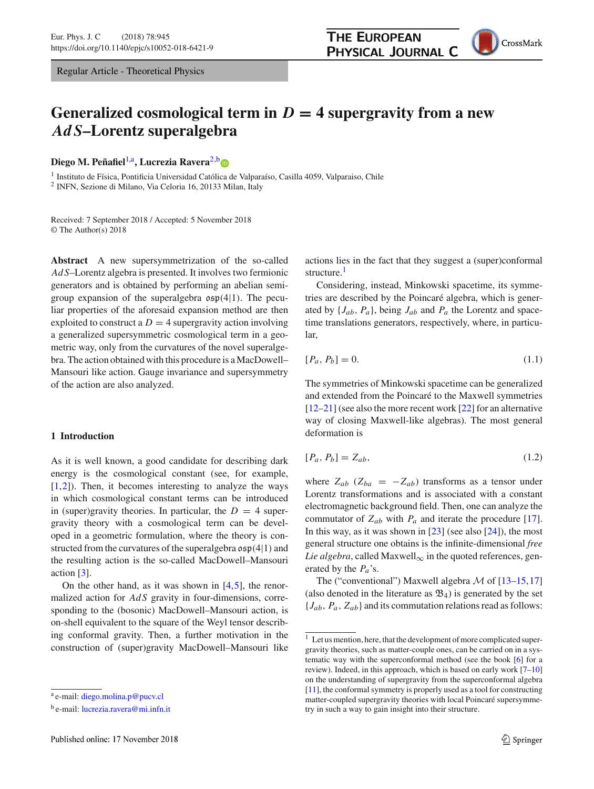Regular Article - Theoretical Physics

## **THE EUROPEAN** PHYSICAL JOURNAL C



# Generalized cosmological term in  $D = 4$  supergravity from a new *AdS***–Lorentz superalgebra**

**Diego M. Peñafiel<sup>1,a</sup>, Lucrezia Ravera<sup>2,[b](http://orcid.org/0000-0003-4516-5127)</sup>o** 

<sup>1</sup> Instituto de Física, Pontificia Universidad Católica de Valparaíso, Casilla 4059, Valparaiso, Chile <sup>2</sup> INFN, Sezione di Milano, Via Celoria 16, 20133 Milan, Italy

Received: 7 September 2018 / Accepted: 5 November 2018 © The Author(s) 2018

**Abstract** A new supersymmetrization of the so-called *Ad S*–Lorentz algebra is presented. It involves two fermionic generators and is obtained by performing an abelian semigroup expansion of the superalgebra  $\mathfrak{osp}(4|1)$ . The peculiar properties of the aforesaid expansion method are then exploited to construct a  $D = 4$  supergravity action involving a generalized supersymmetric cosmological term in a geometric way, only from the curvatures of the novel superalgebra. The action obtained with this procedure is a MacDowell– Mansouri like action. Gauge invariance and supersymmetry of the action are also analyzed.

### **1 Introduction**

As it is well known, a good candidate for describing dark energy is the cosmological constant (see, for example,  $[1,2]$ ). Then, it becomes interesting to analyze the ways in which cosmological constant terms can be introduced in (super)gravity theories. In particular, the  $D = 4$  supergravity theory with a cosmological term can be developed in a geometric formulation, where the theory is constructed from the curvatures of the superalgebra  $\mathfrak{osp}(4|1)$  and the resulting action is the so-called MacDowell–Mansouri action [3].

On the other hand, as it was shown in  $[4,5]$ , the renormalized action for *AdS* gravity in four-dimensions, corresponding to the (bosonic) MacDowell–Mansouri action, is on-shell equivalent to the square of the Weyl tensor describing conformal gravity. Then, a further motivation in the construction of (super)gravity MacDowell–Mansouri like actions lies in the fact that they suggest a (super)conformal structure.<sup>1</sup>

Considering, instead, Minkowski spacetime, its symmetries are described by the Poincaré algebra, which is generated by {*Jab*, *Pa*}, being *Jab* and *Pa* the Lorentz and spacetime translations generators, respectively, where, in particular,

$$
[P_a, P_b] = 0.\t\t(1.1)
$$

The symmetries of Minkowski spacetime can be generalized and extended from the Poincaré to the Maxwell symmetries [12–21] (see also the more recent work [22] for an alternative way of closing Maxwell-like algebras). The most general deformation is

$$
[P_a, P_b] = Z_{ab},\tag{1.2}
$$

where  $Z_{ab}$  ( $Z_{ba} = -Z_{ab}$ ) transforms as a tensor under Lorentz transformations and is associated with a constant electromagnetic background field. Then, one can analyze the commutator of  $Z_{ab}$  with  $P_a$  and iterate the procedure [17]. In this way, as it was shown in  $[23]$  (see also  $[24]$ ), the most general structure one obtains is the infinite-dimensional *free Lie algebra*, called Maxwell<sub>∞</sub> in the quoted references, generated by the *Pa*'s.

The ("conventional") Maxwell algebra *M* of [13–15,17] (also denoted in the literature as  $\mathfrak{B}_4$ ) is generated by the set {*Jab*, *Pa*, *Zab*} and its commutation relations read as follows:

<sup>a</sup> e-mail: [diego.molina.p@pucv.cl](mailto:diego.molina.p@pucv.cl)

<sup>&</sup>lt;sup>b</sup> e-mail: [lucrezia.ravera@mi.infn.it](mailto:lucrezia.ravera@mi.infn.it)

 $1<sup>1</sup>$  Let us mention, here, that the development of more complicated supergravity theories, such as matter-couple ones, can be carried on in a systematic way with the superconformal method (see the book [6] for a review). Indeed, in this approach, which is based on early work  $[7-10]$ on the understanding of supergravity from the superconformal algebra [11], the conformal symmetry is properly used as a tool for constructing matter-coupled supergravity theories with local Poincaré supersymmetry in such a way to gain insight into their structure.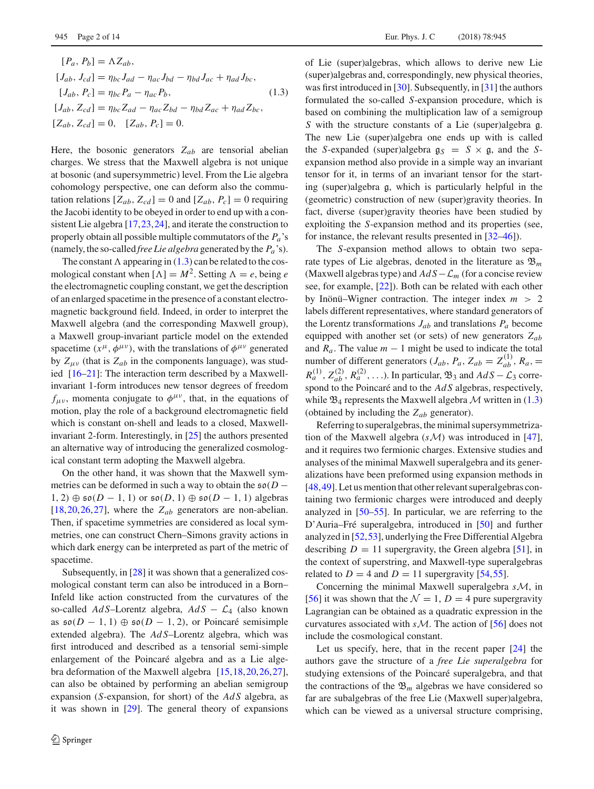$$
[P_a, P_b] = \Lambda Z_{ab},
$$
  
\n
$$
[J_{ab}, J_{cd}] = \eta_{bc} J_{ad} - \eta_{ac} J_{bd} - \eta_{bd} J_{ac} + \eta_{ad} J_{bc},
$$
  
\n
$$
[J_{ab}, P_c] = \eta_{bc} P_a - \eta_{ac} P_b,
$$
  
\n
$$
[J_{ab}, Z_{cd}] = \eta_{bc} Z_{ad} - \eta_{ac} Z_{bd} - \eta_{bd} Z_{ac} + \eta_{ad} Z_{bc},
$$
  
\n
$$
[Z_{ab}, Z_{cd}] = 0, \quad [Z_{ab}, P_c] = 0.
$$
  
\n(1.3)

Here, the bosonic generators  $Z_{ab}$  are tensorial abelian charges. We stress that the Maxwell algebra is not unique at bosonic (and supersymmetric) level. From the Lie algebra cohomology perspective, one can deform also the commutation relations  $[Z_{ab}, Z_{cd}] = 0$  and  $[Z_{ab}, P_c] = 0$  requiring the Jacobi identity to be obeyed in order to end up with a consistent Lie algebra [17,23,24], and iterate the construction to properly obtain all possible multiple commutators of the *Pa*'s (namely, the so-called *free Lie algebra* generated by the *Pa* 's).

The constant  $\Lambda$  appearing in (1.3) can be related to the cosmological constant when  $[\Lambda] = M^2$ . Setting  $\Lambda = e$ , being *e* the electromagnetic coupling constant, we get the description of an enlarged spacetime in the presence of a constant electromagnetic background field. Indeed, in order to interpret the Maxwell algebra (and the corresponding Maxwell group), a Maxwell group-invariant particle model on the extended spacetime  $(x^{\mu}, \phi^{\mu\nu})$ , with the translations of  $\phi^{\mu\nu}$  generated by  $Z_{\mu\nu}$  (that is  $Z_{ab}$  in the components language), was studied [16–21]: The interaction term described by a Maxwellinvariant 1-form introduces new tensor degrees of freedom  $f_{\mu\nu}$ , momenta conjugate to  $\phi^{\mu\nu}$ , that, in the equations of motion, play the role of a background electromagnetic field which is constant on-shell and leads to a closed, Maxwellinvariant 2-form. Interestingly, in [25] the authors presented an alternative way of introducing the generalized cosmological constant term adopting the Maxwell algebra.

On the other hand, it was shown that the Maxwell symmetries can be deformed in such a way to obtain the  $\mathfrak{so}(D -$ 1, 2)  $\oplus$   $\mathfrak{so}(D-1, 1)$  or  $\mathfrak{so}(D, 1) \oplus \mathfrak{so}(D-1, 1)$  algebras  $[18,20,26,27]$ , where the  $Z_{ab}$  generators are non-abelian. Then, if spacetime symmetries are considered as local symmetries, one can construct Chern–Simons gravity actions in which dark energy can be interpreted as part of the metric of spacetime.

Subsequently, in [28] it was shown that a generalized cosmological constant term can also be introduced in a Born– Infeld like action constructed from the curvatures of the so-called *Ad S*–Lorentz algebra, *Ad S* − *L*<sup>4</sup> (also known as  $\mathfrak{so}(D-1,1)$  ⊕  $\mathfrak{so}(D-1,2)$ , or Poincaré semisimple extended algebra). The *Ad S*–Lorentz algebra, which was first introduced and described as a tensorial semi-simple enlargement of the Poincaré algebra and as a Lie algebra deformation of the Maxwell algebra [15,18,20,26,27], can also be obtained by performing an abelian semigroup expansion (*S*-expansion, for short) of the *Ad S* algebra, as it was shown in [29]. The general theory of expansions of Lie (super)algebras, which allows to derive new Lie (super)algebras and, correspondingly, new physical theories, was first introduced in [30]. Subsequently, in [31] the authors formulated the so-called *S*-expansion procedure, which is based on combining the multiplication law of a semigroup *<sup>S</sup>* with the structure constants of a Lie (super)algebra g. The new Lie (super)algebra one ends up with is called the *S*-expanded (super)algebra  $g_S = S \times g$ , and the *S*expansion method also provide in a simple way an invariant tensor for it, in terms of an invariant tensor for the starting (super)algebra g, which is particularly helpful in the (geometric) construction of new (super)gravity theories. In fact, diverse (super)gravity theories have been studied by exploiting the *S*-expansion method and its properties (see, for instance, the relevant results presented in [32–46]).

The *S*-expansion method allows to obtain two separate types of Lie algebras, denoted in the literature as  $\mathfrak{B}_m$ (Maxwell algebras type) and *Ad S*−*L<sup>m</sup>* (for a concise review see, for example, [22]). Both can be related with each other by Inönü–Wigner contraction. The integer index *m* > 2 labels different representatives, where standard generators of the Lorentz transformations  $J_{ab}$  and translations  $P_a$  become equipped with another set (or sets) of new generators *Zab* and  $R_a$ . The value  $m - 1$  might be used to indicate the total number of different generators  $(J_{ab}, P_a, Z_{ab} = Z_{ab}^{(1)}, R_a, =$  $R_a^{(1)}$ ,  $Z_{ab}^{(2)}$ ,  $R_a^{(2)}$ , ...). In particular,  $\mathfrak{B}_3$  and  $AdS - \mathcal{L}_3$  corre-<br>spond to the Poincaré and to the *Ad S* algebras, respectively spond to the Poincaré and to the *Ad S* algebras, respectively, while  $\mathfrak{B}_4$  represents the Maxwell algebra M written in (1.3) (obtained by including the *Zab* generator).

Referring to superalgebras, the minimal supersymmetrization of the Maxwell algebra (*sM*) was introduced in [47], and it requires two fermionic charges. Extensive studies and analyses of the minimal Maxwell superalgebra and its generalizations have been preformed using expansion methods in [48,49]. Let us mention that other relevant superalgebras containing two fermionic charges were introduced and deeply analyzed in [50–55]. In particular, we are referring to the D'Auria–Fré superalgebra, introduced in [50] and further analyzed in [52,53], underlying the Free Differential Algebra describing  $D = 11$  supergravity, the Green algebra [51], in the context of superstring, and Maxwell-type superalgebras related to  $D = 4$  and  $D = 11$  supergravity [54,55].

Concerning the minimal Maxwell superalgebra *sM*, in [56] it was shown that the  $\mathcal{N} = 1$ ,  $D = 4$  pure supergravity Lagrangian can be obtained as a quadratic expression in the curvatures associated with *sM*. The action of [56] does not include the cosmological constant.

Let us specify, here, that in the recent paper [24] the authors gave the structure of a *free Lie superalgebra* for studying extensions of the Poincaré superalgebra, and that the contractions of the  $\mathfrak{B}_m$  algebras we have considered so far are subalgebras of the free Lie (Maxwell super)algebra, which can be viewed as a universal structure comprising,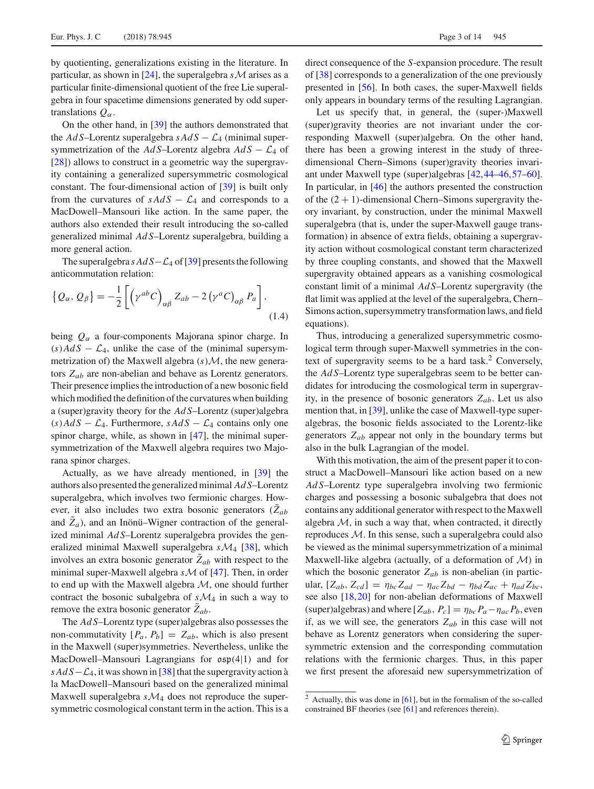by quotienting, generalizations existing in the literature. In particular, as shown in [24], the superalgebra  $s$ *M* arises as a particular finite-dimensional quotient of the free Lie superalgebra in four spacetime dimensions generated by odd supertranslations  $Q_\alpha$ .

On the other hand, in [39] the authors demonstrated that the  $AdS$ –Lorentz superalgebra  $sAdS - \mathcal{L}_4$  (minimal supersymmetrization of the  $AdS$ –Lorentz algebra  $AdS - \mathcal{L}_4$  of [28]) allows to construct in a geometric way the supergravity containing a generalized supersymmetric cosmological constant. The four-dimensional action of [39] is built only from the curvatures of  $sAdS - \mathcal{L}_4$  and corresponds to a MacDowell–Mansouri like action. In the same paper, the authors also extended their result introducing the so-called generalized minimal *Ad S*–Lorentz superalgebra, building a more general action.

The superalgebra *s Ad S*−*L*<sup>4</sup> of [39] presents the following anticommutation relation:

$$
\{Q_{\alpha}, Q_{\beta}\} = -\frac{1}{2} \left[ \left( \gamma^{ab} C \right)_{\alpha\beta} Z_{ab} - 2 \left( \gamma^{a} C \right)_{\alpha\beta} P_{a} \right],
$$
\n(1.4)

being *Q*<sup>α</sup> a four-components Majorana spinor charge. In  $(s)$ *Ad S* −  $\mathcal{L}_4$ , unlike the case of the (minimal supersymmetrization of) the Maxwell algebra (*s*)*M*, the new generators *Zab* are non-abelian and behave as Lorentz generators. Their presence implies the introduction of a new bosonic field which modified the definition of the curvatures when building a (super)gravity theory for the *Ad S*–Lorentz (super)algebra  $(s)$  *Ad S* −  $\mathcal{L}_4$ . Furthermore, *sAd S* −  $\mathcal{L}_4$  contains only one spinor charge, while, as shown in [47], the minimal supersymmetrization of the Maxwell algebra requires two Majorana spinor charges.

Actually, as we have already mentioned, in [39] the authors also presented the generalized minimal *Ad S*–Lorentz superalgebra, which involves two fermionic charges. However, it also includes two extra bosonic generators  $(\tilde{Z}_{ab})$ and  $Z_a$ ), and an Inönü–Wigner contraction of the generalized minimal *Ad S*–Lorentz superalgebra provides the generalized minimal Maxwell superalgebra *sM*<sup>4</sup> [38], which involves an extra bosonic generator  $Z_{ab}$  with respect to the minimal super-Maxwell algebra *sM* of [47]. Then, in order to end up with the Maxwell algebra *M*, one should further contract the bosonic subalgebra of  $s\mathcal{M}_4$  in such a way to remove the extra bosonic generator  $Z_{ab}$ .

The *Ad S*–Lorentz type (super)algebras also possesses the non-commutativity  $[P_a, P_b] = Z_{ab}$ , which is also present in the Maxwell (super)symmetries. Nevertheless, unlike the MacDowell–Mansouri Lagrangians for osp(4|1) and for *s Ad S*−*L*<sub>4</sub>, it was shown in [38] that the supergravity action à la MacDowell–Mansouri based on the generalized minimal Maxwell superalgebra *sM*<sup>4</sup> does not reproduce the supersymmetric cosmological constant term in the action. This is a direct consequence of the *S*-expansion procedure. The result of [38] corresponds to a generalization of the one previously presented in [56]. In both cases, the super-Maxwell fields only appears in boundary terms of the resulting Lagrangian.

Let us specify that, in general, the (super-)Maxwell (super)gravity theories are not invariant under the corresponding Maxwell (super)algebra. On the other hand, there has been a growing interest in the study of threedimensional Chern–Simons (super)gravity theories invariant under Maxwell type (super)algebras [42,44–46,57–60]. In particular, in [46] the authors presented the construction of the  $(2 + 1)$ -dimensional Chern–Simons supergravity theory invariant, by construction, under the minimal Maxwell superalgebra (that is, under the super-Maxwell gauge transformation) in absence of extra fields, obtaining a supergravity action without cosmological constant term characterized by three coupling constants, and showed that the Maxwell supergravity obtained appears as a vanishing cosmological constant limit of a minimal *Ad S*–Lorentz supergravity (the flat limit was applied at the level of the superalgebra, Chern– Simons action, supersymmetry transformation laws, and field equations).

Thus, introducing a generalized supersymmetric cosmological term through super-Maxwell symmetries in the context of supergravity seems to be a hard task.<sup>2</sup> Conversely, the *Ad S*–Lorentz type superalgebras seem to be better candidates for introducing the cosmological term in supergravity, in the presence of bosonic generators  $Z_{ab}$ . Let us also mention that, in [39], unlike the case of Maxwell-type superalgebras, the bosonic fields associated to the Lorentz-like generators *Zab* appear not only in the boundary terms but also in the bulk Lagrangian of the model.

With this motivation, the aim of the present paper it to construct a MacDowell–Mansouri like action based on a new *Ad S*–Lorentz type superalgebra involving two fermionic charges and possessing a bosonic subalgebra that does not contains any additional generator with respect to the Maxwell algebra  $M$ , in such a way that, when contracted, it directly reproduces *M*. In this sense, such a superalgebra could also be viewed as the minimal supersymmetrization of a minimal Maxwell-like algebra (actually, of a deformation of *M*) in which the bosonic generator  $Z_{ab}$  is non-abelian (in particular,  $[Z_{ab}, Z_{cd}] = \eta_{bc} Z_{ad} - \eta_{ac} Z_{bd} - \eta_{bd} Z_{ac} + \eta_{ad} Z_{bc}$ see also [18,20] for non-abelian deformations of Maxwell (super)algebras) and where  $[Z_{ab}, P_c] = \eta_{bc} P_a - \eta_{ac} P_b$ , even if, as we will see, the generators  $Z_{ab}$  in this case will not behave as Lorentz generators when considering the supersymmetric extension and the corresponding commutation relations with the fermionic charges. Thus, in this paper we first present the aforesaid new supersymmetrization of

<sup>&</sup>lt;sup>2</sup> Actually, this was done in  $[61]$ , but in the formalism of the so-called constrained BF theories (see [61] and references therein).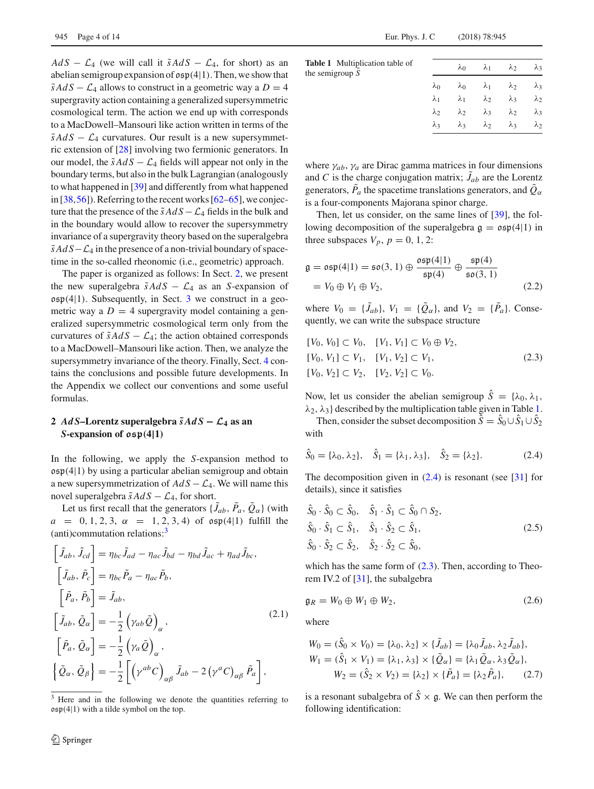*Ad S* −  $\mathcal{L}_4$  (we will call it  $\tilde{s}AdS - \mathcal{L}_4$ , for short) as an abelian semigroup expansion of  $\mathfrak{osp}(4|1)$ . Then, we show that  $\tilde{s}AdS - \mathcal{L}_4$  allows to construct in a geometric way a  $D = 4$ supergravity action containing a generalized supersymmetric cosmological term. The action we end up with corresponds to a MacDowell–Mansouri like action written in terms of the  $\tilde{s}AdS - \mathcal{L}_4$  curvatures. Our result is a new supersymmetric extension of [28] involving two fermionic generators. In our model, the  $\tilde{s}AdS - \mathcal{L}_4$  fields will appear not only in the boundary terms, but also in the bulk Lagrangian (analogously to what happened in [39] and differently from what happened in  $[38,56]$ ). Referring to the recent works  $[62-65]$ , we conjecture that the presence of the  $\tilde{s}AdS - \mathcal{L}_4$  fields in the bulk and in the boundary would allow to recover the supersymmetry invariance of a supergravity theory based on the superalgebra  $\tilde{s}AdS-\mathcal{L}_4$  in the presence of a non-trivial boundary of spacetime in the so-called rheonomic (i.e., geometric) approach.

The paper is organized as follows: In Sect. 2, we present the new superalgebra  $\tilde{s}AdS - \mathcal{L}_4$  as an *S*-expansion of  $\mathfrak{osp}(4|1)$ . Subsequently, in Sect. 3 we construct in a geometric way a  $D = 4$  supergravity model containing a generalized supersymmetric cosmological term only from the curvatures of  $\tilde{s}AdS - \mathcal{L}_4$ ; the action obtained corresponds to a MacDowell–Mansouri like action. Then, we analyze the supersymmetry invariance of the theory. Finally, Sect. 4 contains the conclusions and possible future developments. In the Appendix we collect our conventions and some useful formulas.

## **2** *AdS***–Lorentz superalgebra**  $\tilde{s}AdS$  **−**  $\mathcal{L}_4$  as an *S***-expansion of osp***(***4|1***)*

In the following, we apply the *S*-expansion method to  $\mathfrak{osp}(4|1)$  by using a particular abelian semigroup and obtain a new supersymmetrization of *Ad S* − *L*4. We will name this novel superalgebra  $\tilde{s}AdS - \mathcal{L}_4$ , for short.

Let us first recall that the generators  $\{J_{ab}, P_a, Q_\alpha\}$  (with  $a = 0, 1, 2, 3, \alpha = 1, 2, 3, 4$  of  $\mathfrak{osp}(4|1)$  fulfill the (anti)commutation relations:3

$$
\begin{aligned}\n\left[\tilde{J}_{ab}, \tilde{J}_{cd}\right] &= \eta_{bc} \tilde{J}_{ad} - \eta_{ac} \tilde{J}_{bd} - \eta_{bd} \tilde{J}_{ac} + \eta_{ad} \tilde{J}_{bc}, \\
\left[\tilde{J}_{ab}, \tilde{P}_c\right] &= \eta_{bc} \tilde{P}_a - \eta_{ac} \tilde{P}_b, \\
\left[\tilde{P}_a, \tilde{P}_b\right] &= \tilde{J}_{ab}, \\
\left[\tilde{J}_{ab}, \tilde{Q}_{\alpha}\right] &= -\frac{1}{2} \left(\gamma_{ab} \tilde{Q}\right)_{\alpha}, \\
\left[\tilde{P}_a, \tilde{Q}_{\alpha}\right] &= -\frac{1}{2} \left(\gamma_a \tilde{Q}\right)_{\alpha}, \\
\left\{\tilde{Q}_{\alpha}, \tilde{Q}_{\beta}\right\} &= -\frac{1}{2} \left[\left(\gamma^{ab} C\right)_{\alpha\beta} \tilde{J}_{ab} - 2 \left(\gamma^a C\right)_{\alpha\beta} \tilde{P}_a\right],\n\end{aligned}
$$
\n(2.1)

<sup>3</sup> Here and in the following we denote the quantities referring to  $\mathfrak{osp}(4|1)$  with a tilde symbol on the top.

| <b>Table 1</b> Multiplication table of<br>the semigroup $S$ |             | $\lambda_0$ |                         | $\lambda_1$ $\lambda_2$ $\lambda_3$                         |             |
|-------------------------------------------------------------|-------------|-------------|-------------------------|-------------------------------------------------------------|-------------|
|                                                             | $\lambda_0$ |             |                         | $\lambda_0$ $\lambda_1$ $\lambda_2$ $\lambda_3$             |             |
|                                                             |             |             |                         | $\lambda_1$ $\lambda_1$ $\lambda_2$ $\lambda_3$ $\lambda_2$ |             |
|                                                             | $\lambda_2$ |             |                         | $\lambda_2$ $\lambda_3$ $\lambda_2$                         | $\lambda_3$ |
|                                                             | $\lambda$ 3 |             | $\lambda_3$ $\lambda_2$ | $\lambda_3$                                                 | $\lambda_2$ |
|                                                             |             |             |                         |                                                             |             |

where  $\gamma_{ab}$ ,  $\gamma_a$  are Dirac gamma matrices in four dimensions and *C* is the charge conjugation matrix;  $J_{ab}$  are the Lorentz generators,  $P_a$  the spacetime translations generators, and  $Q_\alpha$ is a four-components Majorana spinor charge.

Then, let us consider, on the same lines of [39], the following decomposition of the superalgebra  $g = \rho \epsilon \rho(4|1)$  in three subspaces  $V_p$ ,  $p = 0, 1, 2$ :

$$
\mathfrak{g} = \mathfrak{osp}(4|1) = \mathfrak{so}(3, 1) \oplus \frac{\mathfrak{osp}(4|1)}{\mathfrak{sp}(4)} \oplus \frac{\mathfrak{sp}(4)}{\mathfrak{so}(3, 1)}
$$

$$
= V_0 \oplus V_1 \oplus V_2,
$$
(2.2)

where  $V_0 = \{J_{ab}\}, V_1 = \{Q_\alpha\}, \text{ and } V_2 = \{P_a\}. \text{ Conse-}$ quently, we can write the subspace structure

$$
[V_0, V_0] \subset V_0, \quad [V_1, V_1] \subset V_0 \oplus V_2,
$$
  
\n
$$
[V_0, V_1] \subset V_1, \quad [V_1, V_2] \subset V_1,
$$
  
\n
$$
[V_0, V_2] \subset V_2, \quad [V_2, V_2] \subset V_0.
$$
\n(2.3)

Now, let us consider the abelian semigroup  $\hat{S} = {\lambda_0, \lambda_1}$ ,  $\lambda_2$ ,  $\lambda_3$ } described by the multiplication table given in Table 1.

Then, consider the subset decomposition  $\hat{S} = \hat{S}_0 \cup \hat{S}_1 \cup \hat{S}_2$ with

$$
\hat{S}_0 = \{\lambda_0, \lambda_2\}, \quad \hat{S}_1 = \{\lambda_1, \lambda_3\}, \quad \hat{S}_2 = \{\lambda_2\}.
$$
 (2.4)

The decomposition given in  $(2.4)$  is resonant (see [31] for details), since it satisfies

$$
\hat{S}_0 \cdot \hat{S}_0 \subset \hat{S}_0, \quad \hat{S}_1 \cdot \hat{S}_1 \subset \hat{S}_0 \cap S_2,
$$
  
\n
$$
\hat{S}_0 \cdot \hat{S}_1 \subset \hat{S}_1, \quad \hat{S}_1 \cdot \hat{S}_2 \subset \hat{S}_1,
$$
  
\n
$$
\hat{S}_0 \cdot \hat{S}_2 \subset \hat{S}_2, \quad \hat{S}_2 \cdot \hat{S}_2 \subset \hat{S}_0,
$$
\n(2.5)

which has the same form of  $(2.3)$ . Then, according to Theorem IV.2 of [31], the subalgebra

$$
\mathfrak{g}_R = W_0 \oplus W_1 \oplus W_2,\tag{2.6}
$$

where

$$
W_0 = (\hat{S}_0 \times V_0) = {\lambda_0, \lambda_2} \times {\bar{J}_{ab}} = {\lambda_0 \bar{J}_{ab}, \lambda_2 \bar{J}_{ab}},
$$
  
\n
$$
W_1 = (\hat{S}_1 \times V_1) = {\lambda_1, \lambda_3} \times {\bar{Q}_{\alpha}} = {\lambda_1 \tilde{Q}_{\alpha}, \lambda_3 \tilde{Q}_{\alpha}},
$$
  
\n
$$
W_2 = (\hat{S}_2 \times V_2) = {\lambda_2} \times {\bar{P}_{\alpha}} = {\lambda_2 \tilde{P}_{\alpha}},
$$
  
\n(2.7)

is a resonant subalgebra of  $\hat{S} \times \mathfrak{g}$ . We can then perform the following identification: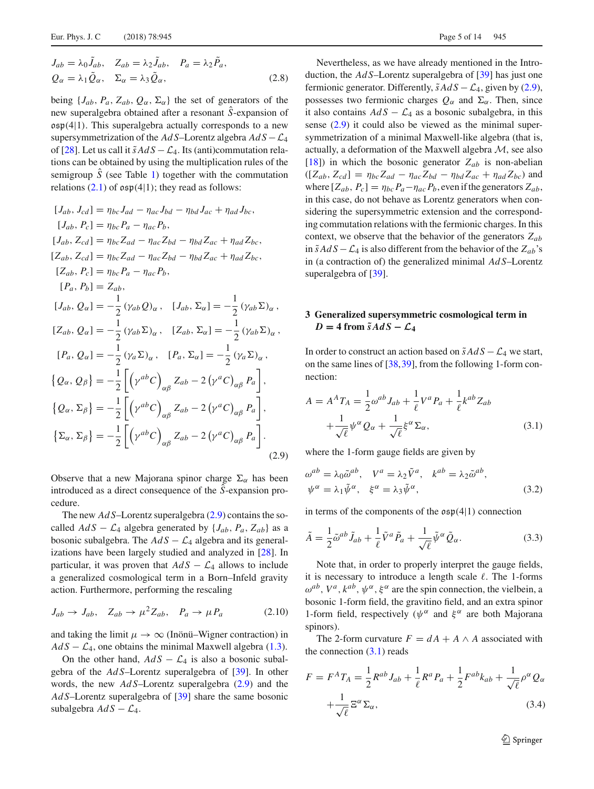$$
J_{ab} = \lambda_0 \tilde{J}_{ab}, \quad Z_{ab} = \lambda_2 \tilde{J}_{ab}, \quad P_a = \lambda_2 \tilde{P}_a,
$$
  

$$
Q_{\alpha} = \lambda_1 \tilde{Q}_{\alpha}, \quad \Sigma_{\alpha} = \lambda_3 \tilde{Q}_{\alpha}, \tag{2.8}
$$

being  $\{J_{ab}, P_a, Z_{ab}, Q_\alpha, \Sigma_\alpha\}$  the set of generators of the new superalgebra obtained after a resonant *S*ˆ-expansion of  $\mathfrak{osp}(4|1)$ . This superalgebra actually corresponds to a new supersymmetrization of the  $AdS$ –Lorentz algebra  $AdS - \mathcal{L}_4$ of [28]. Let us call it  $\tilde{s}AdS - \mathcal{L}_4$ . Its (anti)commutation relations can be obtained by using the multiplication rules of the semigroup  $\hat{S}$  (see Table 1) together with the commutation relations  $(2.1)$  of  $\mathfrak{osp}(4|1)$ ; they read as follows:

$$
[J_{ab}, J_{cd}] = \eta_{bc} J_{ad} - \eta_{ac} J_{bd} - \eta_{bd} J_{ac} + \eta_{ad} J_{bc},
$$
  
\n
$$
[J_{ab}, P_c] = \eta_{bc} P_a - \eta_{ac} P_b,
$$
  
\n
$$
[J_{ab}, Z_{cd}] = \eta_{bc} Z_{ad} - \eta_{ac} Z_{bd} - \eta_{bd} Z_{ac} + \eta_{ad} Z_{bc},
$$
  
\n
$$
[Z_{ab}, Z_{cd}] = \eta_{bc} Z_{ad} - \eta_{ac} Z_{bd} - \eta_{bd} Z_{ac} + \eta_{ad} Z_{bc},
$$
  
\n
$$
[Z_{ab}, P_c] = \eta_{bc} P_a - \eta_{ac} P_b,
$$
  
\n
$$
[P_a, P_b] = Z_{ab},
$$
  
\n
$$
[J_{ab}, Q_{\alpha}] = -\frac{1}{2} (\gamma_{ab} Q)_{\alpha}, \quad [J_{ab}, \Sigma_{\alpha}] = -\frac{1}{2} (\gamma_{ab} \Sigma)_{\alpha},
$$
  
\n
$$
[Z_{ab}, Q_{\alpha}] = -\frac{1}{2} (\gamma_{ab} \Sigma)_{\alpha}, \quad [Z_{ab}, \Sigma_{\alpha}] = -\frac{1}{2} (\gamma_{ab} \Sigma)_{\alpha},
$$
  
\n
$$
[P_a, Q_{\alpha}] = -\frac{1}{2} (\gamma_a \Sigma)_{\alpha}, \quad [P_a, \Sigma_{\alpha}] = -\frac{1}{2} (\gamma_a \Sigma)_{\alpha},
$$
  
\n
$$
\{Q_{\alpha}, Q_{\beta}\} = -\frac{1}{2} \left[ (\gamma^{ab} C)_{\alpha\beta} Z_{ab} - 2 (\gamma^a C)_{\alpha\beta} P_a \right],
$$
  
\n
$$
\{Q_{\alpha}, \Sigma_{\beta}\} = -\frac{1}{2} \left[ (\gamma^{ab} C)_{\alpha\beta} Z_{ab} - 2 (\gamma^a C)_{\alpha\beta} P_a \right].
$$
  
\n
$$
\{ \Sigma_{\alpha}, \Sigma_{\beta}\} = -\frac{1}{2} \left[ (\gamma^{ab} C)_{\alpha\beta} Z_{ab} - 2 (\gamma^a C)_{\alpha\beta} P_a \right].
$$
  
\n(2.9)

Observe that a new Majorana spinor charge  $\Sigma_{\alpha}$  has been introduced as a direct consequence of the *S*ˆ-expansion procedure.

The new *Ad S*–Lorentz superalgebra (2.9) contains the socalled  $AdS - \mathcal{L}_4$  algebra generated by  $\{J_{ab}, P_a, Z_{ab}\}\$ as a bosonic subalgebra. The  $AdS - \mathcal{L}_4$  algebra and its generalizations have been largely studied and analyzed in [28]. In particular, it was proven that  $AdS - \mathcal{L}_4$  allows to include a generalized cosmological term in a Born–Infeld gravity action. Furthermore, performing the rescaling

$$
J_{ab} \to J_{ab}, \quad Z_{ab} \to \mu^2 Z_{ab}, \quad P_a \to \mu P_a \tag{2.10}
$$

and taking the limit  $\mu \to \infty$  (Inönü–Wigner contraction) in  $AdS - \mathcal{L}_4$ , one obtains the minimal Maxwell algebra (1.3).

On the other hand,  $AdS - \mathcal{L}_4$  is also a bosonic subalgebra of the *Ad S*–Lorentz superalgebra of [39]. In other words, the new *Ad S*–Lorentz superalgebra (2.9) and the *Ad S*–Lorentz superalgebra of [39] share the same bosonic subalgebra  $AdS - \mathcal{L}_4$ .

Nevertheless, as we have already mentioned in the Introduction, the *Ad S*–Lorentz superalgebra of [39] has just one fermionic generator. Differently,  $\tilde{s}AdS - \mathcal{L}_4$ , given by (2.9), possesses two fermionic charges  $Q_{\alpha}$  and  $\Sigma_{\alpha}$ . Then, since it also contains  $AdS - \mathcal{L}_4$  as a bosonic subalgebra, in this sense (2.9) it could also be viewed as the minimal supersymmetrization of a minimal Maxwell-like algebra (that is, actually, a deformation of the Maxwell algebra *M*, see also [18]) in which the bosonic generator  $Z_{ab}$  is non-abelian  $([Z_{ab}, Z_{cd}] = \eta_{bc} Z_{ad} - \eta_{ac} Z_{bd} - \eta_{bd} Z_{ac} + \eta_{ad} Z_{bc})$  and where  $[Z_{ab}, P_c] = \eta_{bc} P_a - \eta_{ac} P_b$ , even if the generators  $Z_{ab}$ , in this case, do not behave as Lorentz generators when considering the supersymmetric extension and the corresponding commutation relations with the fermionic charges. In this context, we observe that the behavior of the generators *Zab* in  $\tilde{s}AdS - \mathcal{L}_4$  is also different from the behavior of the  $Z_{ab}$ 's in (a contraction of) the generalized minimal *Ad S*–Lorentz superalgebra of [39].

## **3 Generalized supersymmetric cosmological term in**  $D = 4$  from  $\tilde{s}AdS - \mathcal{L}_4$

In order to construct an action based on  $\tilde{s}AdS - \mathcal{L}_4$  we start, on the same lines of [38,39], from the following 1-form connection:

$$
A = AA TA = \frac{1}{2} \omega^{ab} J_{ab} + \frac{1}{\ell} V^{a} P_{a} + \frac{1}{\ell} k^{ab} Z_{ab}
$$

$$
+ \frac{1}{\sqrt{\ell}} \psi^{\alpha} Q_{\alpha} + \frac{1}{\sqrt{\ell}} \xi^{\alpha} \Sigma_{\alpha}, \qquad (3.1)
$$

where the 1-form gauge fields are given by

$$
\omega^{ab} = \lambda_0 \tilde{\omega}^{ab}, \quad V^a = \lambda_2 \tilde{V}^a, \quad k^{ab} = \lambda_2 \tilde{\omega}^{ab}, \psi^{\alpha} = \lambda_1 \tilde{\psi}^{\alpha}, \quad \xi^{\alpha} = \lambda_3 \tilde{\psi}^{\alpha},
$$
\n(3.2)

in terms of the components of the  $\mathfrak{osp}(4|1)$  connection

$$
\tilde{A} = \frac{1}{2}\tilde{\omega}^{ab}\tilde{J}_{ab} + \frac{1}{\ell}\tilde{V}^a\tilde{P}_a + \frac{1}{\sqrt{\ell}}\tilde{\psi}^\alpha\tilde{Q}_\alpha.
$$
\n(3.3)

Note that, in order to properly interpret the gauge fields, it is necessary to introduce a length scale  $\ell$ . The 1-forms  $\omega^{ab}$ ,  $V^a$ ,  $k^{ab}$ ,  $\psi^{\alpha}$ ,  $\xi^{\alpha}$  are the spin connection, the vielbein, a bosonic 1-form field, the gravitino field, and an extra spinor 1-form field, respectively ( $\psi^{\alpha}$  and  $\xi^{\alpha}$  are both Majorana spinors).

The 2-form curvature  $F = dA + A \wedge A$  associated with the connection  $(3.1)$  reads

$$
F = F^{A}T_{A} = \frac{1}{2}R^{ab}J_{ab} + \frac{1}{\ell}R^{a}P_{a} + \frac{1}{2}F^{ab}k_{ab} + \frac{1}{\sqrt{\ell}}\rho^{\alpha}Q_{\alpha}
$$

$$
+ \frac{1}{\sqrt{\ell}}\Xi^{\alpha}\Sigma_{\alpha}, \tag{3.4}
$$

<sup>2</sup> Springer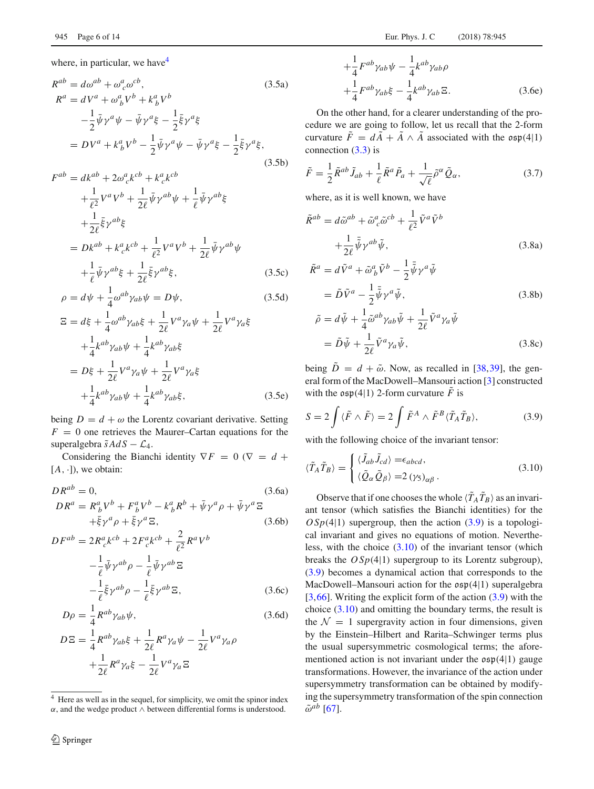where, in particular, we have  $4$ 

$$
R^{ab} = d\omega^{ab} + \omega_c^a \omega^{cb},
$$
  
\n
$$
R^a = dV^a + \omega_b^a V^b + k_b^a V^b
$$
  
\n
$$
-\frac{1}{2} \bar{\psi} \gamma^a \psi - \bar{\psi} \gamma^a \xi - \frac{1}{2} \bar{\xi} \gamma^a \xi
$$
  
\n
$$
= DV^a + k_b^a V^b - \frac{1}{2} \bar{\psi} \gamma^a \psi - \bar{\psi} \gamma^a \xi - \frac{1}{2} \bar{\xi} \gamma^a \xi,
$$
  
\n(3.5b)

$$
F^{ab} = dk^{ab} + 2\omega_{c}^{a}k^{cb} + k_{c}^{a}k^{cb}
$$
  
\n
$$
+ \frac{1}{\ell^{2}}V^{a}V^{b} + \frac{1}{2\ell}\bar{\psi}\gamma^{ab}\psi + \frac{1}{\ell}\bar{\psi}\gamma^{ab}\xi
$$
  
\n
$$
+ \frac{1}{2\ell}\bar{\xi}\gamma^{ab}\xi
$$
  
\n
$$
= Dk^{ab} + k_{c}^{a}k^{cb} + \frac{1}{\ell^{2}}V^{a}V^{b} + \frac{1}{2\ell}\bar{\psi}\gamma^{ab}\psi
$$
  
\n
$$
+ \frac{1}{\ell}\bar{\psi}\gamma^{ab}\xi + \frac{1}{2\ell}\bar{\xi}\gamma^{ab}\xi,
$$
\n(3.5c)

$$
\rho = d\psi + \frac{1}{4}\omega^{ab}\gamma_{ab}\psi = D\psi,
$$
\n(3.5d)

$$
\Xi = d\xi + \frac{1}{4}\omega^{ab}\gamma_{ab}\xi + \frac{1}{2\ell}V^a\gamma_a\psi + \frac{1}{2\ell}V^a\gamma_a\xi
$$
  
+ 
$$
\frac{1}{4}k^{ab}\gamma_{ab}\psi + \frac{1}{4}k^{ab}\gamma_{ab}\xi
$$
  
=  $D\xi + \frac{1}{2\ell}V^a\gamma_a\psi + \frac{1}{2\ell}V^a\gamma_a\xi$   
+ 
$$
\frac{1}{4}k^{ab}\gamma_{ab}\psi + \frac{1}{4}k^{ab}\gamma_{ab}\xi,
$$
 (3.5e)

being  $D = d + \omega$  the Lorentz covariant derivative. Setting  $F = 0$  one retrieves the Maurer–Cartan equations for the superalgebra  $\tilde{s}AdS - \mathcal{L}_4$ .

Considering the Bianchi identity  $\nabla F = 0$  ( $\nabla = d +$  $[A, \cdot]$ , we obtain:

$$
DR^{ab} = 0,
$$
\n
$$
DR^{a} = R_{b}^{a}V^{b} + F_{b}^{a}V^{b} - k_{b}^{a}R^{b} + \bar{\psi}\gamma^{a}\rho + \bar{\psi}\gamma^{a}\Xi
$$
\n
$$
+ \bar{\xi}\gamma^{a}\rho + \bar{\xi}\gamma^{a}\Xi,
$$
\n
$$
DF^{ab} = 2R_{c}^{a}k^{cb} + 2F_{c}^{a}k^{cb} + \frac{2}{\rho^{2}}R^{a}V^{b}
$$
\n(3.6b)

$$
F^{ab} = 2R_c^a k^{cb} + 2F_c^a k^{cb} + \frac{2}{\ell^2} R^a V^b
$$

$$
-\frac{1}{\ell} \bar{\psi} \gamma^{ab} \rho - \frac{1}{\ell} \bar{\psi} \gamma^{ab} \Xi
$$

$$
-\frac{1}{\ell} \bar{\xi} \gamma^{ab} \rho - \frac{1}{\ell} \bar{\xi} \gamma^{ab} \Xi,
$$
(3.6c)

$$
D\rho = \frac{1}{4} R^{ab} \gamma_{ab} \psi, \qquad (3.6d)
$$

$$
D\Xi = \frac{1}{4}R^{ab}\gamma_{ab}\xi + \frac{1}{2\ell}R^a\gamma_a\psi - \frac{1}{2\ell}V^a\gamma_a\rho
$$

$$
+\frac{1}{2\ell}R^a\gamma_a\xi - \frac{1}{2\ell}V^a\gamma_a\Xi
$$

$$
+\frac{1}{4}F^{ab}\gamma_{ab}\psi - \frac{1}{4}k^{ab}\gamma_{ab}\rho
$$

$$
+\frac{1}{4}F^{ab}\gamma_{ab}\xi - \frac{1}{4}k^{ab}\gamma_{ab}\Xi.
$$
 (3.6e)

On the other hand, for a clearer understanding of the procedure we are going to follow, let us recall that the 2-form curvature  $\tilde{F} = d\tilde{A} + \tilde{A} \wedge \tilde{A}$  associated with the  $\mathfrak{osp}(4|1)$ connection (3.3) is

$$
\tilde{F} = \frac{1}{2}\tilde{R}^{ab}\tilde{J}_{ab} + \frac{1}{\ell}\tilde{R}^a\tilde{P}_a + \frac{1}{\sqrt{\ell}}\tilde{\rho}^\alpha\tilde{Q}_\alpha, \tag{3.7}
$$

where, as it is well known, we have

$$
\tilde{R}^{ab} = d\tilde{\omega}^{ab} + \tilde{\omega}_c^a \tilde{\omega}^{cb} + \frac{1}{\ell^2} \tilde{V}^a \tilde{V}^b
$$

$$
+ \frac{1}{2\ell} \bar{\tilde{\psi}} \gamma^{ab} \tilde{\psi},
$$

$$
\tilde{\omega}^a = \tilde{V}^a \tilde{\omega} + \tilde{\omega}^a \tilde{\omega}^b - \frac{1}{2} \bar{\tilde{\psi}}^a \tilde{\omega}^a.
$$
(3.8a)

$$
\tilde{R}^a = d\tilde{V}^a + \tilde{\omega}_b^a \tilde{V}^b - \frac{1}{2} \bar{\tilde{\psi}} \gamma^a \tilde{\psi}
$$
  
=  $\tilde{D} \tilde{V}^a - \frac{1}{2} \bar{\tilde{\psi}} \gamma^a \tilde{\psi},$  (3.8b)

$$
\tilde{\rho} = d\tilde{\psi} + \frac{1}{4}\tilde{\omega}^{ab}\gamma_{ab}\tilde{\psi} + \frac{1}{2\ell}\tilde{V}^a\gamma_a\tilde{\psi}
$$
  
=  $\tilde{D}\tilde{\psi} + \frac{1}{2\ell}\tilde{V}^a\gamma_a\tilde{\psi},$  (3.8c)

being  $\tilde{D} = d + \tilde{\omega}$ . Now, as recalled in [38,39], the general form of the MacDowell–Mansouri action [3] constructed with the  $\mathfrak{osp}(4|1)$  2-form curvature  $\tilde{F}$  is

$$
S = 2 \int \langle \tilde{F} \wedge \tilde{F} \rangle = 2 \int \tilde{F}^A \wedge \tilde{F}^B \langle \tilde{T}_A \tilde{T}_B \rangle, \tag{3.9}
$$

with the following choice of the invariant tensor:

$$
\langle \tilde{T}_A \tilde{T}_B \rangle = \begin{cases} \langle \tilde{J}_{ab} \tilde{J}_{cd} \rangle = \epsilon_{abcd}, \\ \langle \tilde{Q}_{\alpha} \tilde{Q}_{\beta} \rangle = 2 (\gamma_5)_{\alpha\beta}. \end{cases} \tag{3.10}
$$

Observe that if one chooses the whole  $\langle T_A T_B \rangle$  as an invariant tensor (which satisfies the Bianchi identities) for the  $OSp(4|1)$  supergroup, then the action  $(3.9)$  is a topological invariant and gives no equations of motion. Nevertheless, with the choice  $(3.10)$  of the invariant tensor (which breaks the  $OSp(4|1)$  supergroup to its Lorentz subgroup), (3.9) becomes a dynamical action that corresponds to the MacDowell–Mansouri action for the  $\mathfrak{osp}(4|1)$  superalgebra  $[3,66]$ . Writing the explicit form of the action  $(3.9)$  with the choice (3.10) and omitting the boundary terms, the result is the  $\mathcal{N} = 1$  supergravity action in four dimensions, given by the Einstein–Hilbert and Rarita–Schwinger terms plus the usual supersymmetric cosmological terms; the aforementioned action is not invariant under the  $\mathfrak{osp}(4|1)$  gauge transformations. However, the invariance of the action under supersymmetry transformation can be obtained by modifying the supersymmetry transformation of the spin connection  $\tilde{\omega}^{ab}$  [67].

<sup>4</sup> Here as well as in the sequel, for simplicity, we omit the spinor index  $\alpha$ , and the wedge product  $\wedge$  between differential forms is understood.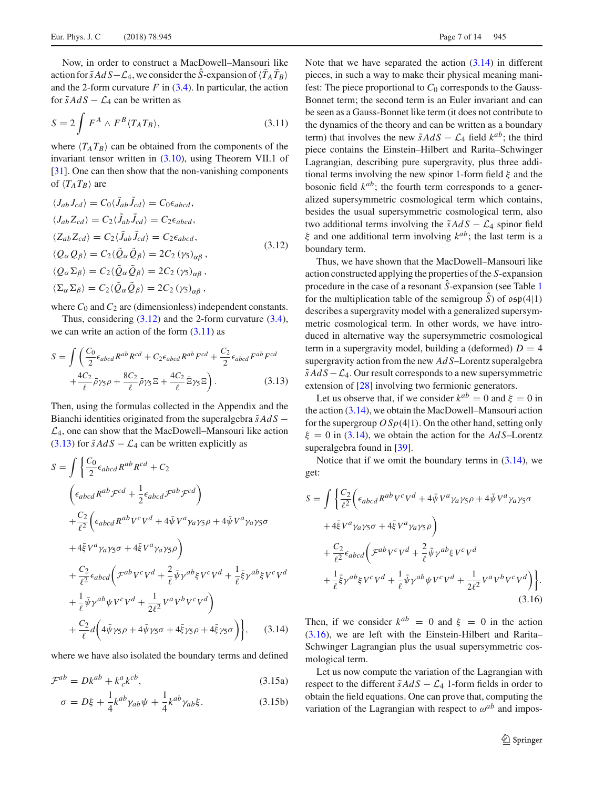Now, in order to construct a MacDowell–Mansouri like action for  $\tilde{s}AdS - \mathcal{L}_4$ , we consider the *S*-expansion of  $\langle T_A T_B \rangle$ and the 2-form curvature  $F$  in  $(3.4)$ . In particular, the action for  $\tilde{s}AdS - \mathcal{L}_4$  can be written as

$$
S = 2 \int F^A \wedge F^B \langle T_A T_B \rangle, \tag{3.11}
$$

where  $\langle T_A T_B \rangle$  can be obtained from the components of the invariant tensor written in (3.10), using Theorem VII.1 of [31]. One can then show that the non-vanishing components of  $\langle T_A T_B \rangle$  are

$$
\langle J_{ab}J_{cd}\rangle = C_0 \langle \tilde{J}_{ab}\tilde{J}_{cd}\rangle = C_0 \epsilon_{abcd},
$$
  
\n
$$
\langle J_{ab}Z_{cd}\rangle = C_2 \langle \tilde{J}_{ab}\tilde{J}_{cd}\rangle = C_2 \epsilon_{abcd},
$$
  
\n
$$
\langle Z_{ab}Z_{cd}\rangle = C_2 \langle \tilde{J}_{ab}\tilde{J}_{cd}\rangle = C_2 \epsilon_{abcd},
$$
  
\n
$$
\langle Q_{\alpha}Q_{\beta}\rangle = C_2 \langle \tilde{Q}_{\alpha}\tilde{Q}_{\beta}\rangle = 2C_2 \langle \gamma_5\rangle_{\alpha\beta},
$$
  
\n
$$
\langle Q_{\alpha}\Sigma_{\beta}\rangle = C_2 \langle \tilde{Q}_{\alpha}\tilde{Q}_{\beta}\rangle = 2C_2 \langle \gamma_5\rangle_{\alpha\beta},
$$
  
\n
$$
\langle \Sigma_{\alpha}\Sigma_{\beta}\rangle = C_2 \langle \tilde{Q}_{\alpha}\tilde{Q}_{\beta}\rangle = 2C_2 \langle \gamma_5\rangle_{\alpha\beta},
$$
  
\n
$$
\langle \Sigma_{\alpha}\Sigma_{\beta}\rangle = C_2 \langle \tilde{Q}_{\alpha}\tilde{Q}_{\beta}\rangle = 2C_2 \langle \gamma_5\rangle_{\alpha\beta},
$$

where  $C_0$  and  $C_2$  are (dimensionless) independent constants.

Thus, considering  $(3.12)$  and the 2-form curvature  $(3.4)$ , we can write an action of the form  $(3.11)$  as

$$
S = \int \left( \frac{C_0}{2} \epsilon_{abcd} R^{ab} R^{cd} + C_2 \epsilon_{abcd} R^{ab} F^{cd} + \frac{C_2}{2} \epsilon_{abcd} F^{ab} F^{cd} \right) + \frac{4C_2}{\ell} \bar{\rho} \gamma_5 \rho + \frac{8C_2}{\ell} \bar{\rho} \gamma_5 \Xi + \frac{4C_2}{\ell} \bar{\Xi} \gamma_5 \Xi \right). \tag{3.13}
$$

Then, using the formulas collected in the Appendix and the Bianchi identities originated from the superalgebra  $\tilde{s}AdS$  −  $\mathcal{L}_4$ , one can show that the MacDowell–Mansouri like action (3.13) for  $\tilde{s}AdS - \mathcal{L}_4$  can be written explicitly as

$$
S = \int \left\{ \frac{C_0}{2} \epsilon_{abcd} R^{ab} R^{cd} + C_2 \right.\left( \epsilon_{abcd} R^{ab} \mathcal{F}^{cd} + \frac{1}{2} \epsilon_{abcd} \mathcal{F}^{ab} \mathcal{F}^{cd} \right) \n+ \frac{C_2}{\ell^2} \left( \epsilon_{abcd} R^{ab} V^c V^d + 4 \bar{\psi} V^a \gamma_a \gamma_5 \rho + 4 \bar{\psi} V^a \gamma_a \gamma_5 \sigma \n+ 4 \bar{\xi} V^a \gamma_a \gamma_5 \sigma + 4 \bar{\xi} V^a \gamma_a \gamma_5 \rho \right) \n+ \frac{C_2}{\ell^2} \epsilon_{abcd} \left( \mathcal{F}^{ab} V^c V^d + \frac{2}{\ell} \bar{\psi} \gamma^{ab} \xi V^c V^d + \frac{1}{\ell} \bar{\xi} \gamma^{ab} \xi V^c V^d \right. \n+ \frac{1}{\ell} \bar{\psi} \gamma^{ab} \psi V^c V^d + \frac{1}{2 \ell^2} V^a V^b V^c V^d \right) \n+ \frac{C_2}{\ell} d \left( 4 \bar{\psi} \gamma_5 \rho + 4 \bar{\psi} \gamma_5 \sigma + 4 \bar{\xi} \gamma_5 \rho + 4 \bar{\xi} \gamma_5 \sigma \right) \right\}, \quad (3.14)
$$

where we have also isolated the boundary terms and defined

$$
\mathcal{F}^{ab} = Dk^{ab} + k^a_{\ c}k^{cb},\tag{3.15a}
$$

$$
\sigma = D\xi + \frac{1}{4}k^{ab}\gamma_{ab}\psi + \frac{1}{4}k^{ab}\gamma_{ab}\xi.
$$
 (3.15b)

Note that we have separated the action  $(3.14)$  in different pieces, in such a way to make their physical meaning manifest: The piece proportional to  $C_0$  corresponds to the Gauss-Bonnet term; the second term is an Euler invariant and can be seen as a Gauss-Bonnet like term (it does not contribute to the dynamics of the theory and can be written as a boundary term) that involves the new  $\tilde{s}AdS - \mathcal{L}_4$  field  $k^{ab}$ ; the third piece contains the Einstein–Hilbert and Rarita–Schwinger Lagrangian, describing pure supergravity, plus three additional terms involving the new spinor 1-form field  $\xi$  and the bosonic field *kab*; the fourth term corresponds to a generalized supersymmetric cosmological term which contains, besides the usual supersymmetric cosmological term, also two additional terms involving the  $\tilde{s}AdS - \mathcal{L}_4$  spinor field ξ and one additional term involving *kab*; the last term is a boundary term.

Thus, we have shown that the MacDowell–Mansouri like action constructed applying the properties of the *S*-expansion procedure in the case of a resonant *S*-expansion (see Table 1) for the multiplication table of the semigroup  $\hat{S}$ ) of  $\mathfrak{osp}(4|1)$ describes a supergravity model with a generalized supersymmetric cosmological term. In other words, we have introduced in alternative way the supersymmetric cosmological term in a supergravity model, building a (deformed)  $D = 4$ supergravity action from the new *Ad S*–Lorentz superalgebra  $\tilde{s}AdS - \mathcal{L}_4$ . Our result corresponds to a new supersymmetric extension of [28] involving two fermionic generators.

Let us observe that, if we consider  $k^{ab} = 0$  and  $\xi = 0$  in the action (3.14), we obtain the MacDowell–Mansouri action for the supergroup  $OSp(4|1)$ . On the other hand, setting only  $\xi = 0$  in (3.14), we obtain the action for the *Ad S*–Lorentz superalgebra found in [39].

Notice that if we omit the boundary terms in  $(3.14)$ , we get:

$$
S = \int \left\{ \frac{C_2}{\ell^2} \left( \epsilon_{abcd} R^{ab} V^c V^d + 4 \bar{\psi} V^a \gamma_a \gamma_5 \rho + 4 \bar{\psi} V^a \gamma_a \gamma_5 \sigma \right. \right.\left. + 4 \bar{\xi} V^a \gamma_a \gamma_5 \sigma + 4 \bar{\xi} V^a \gamma_a \gamma_5 \rho \right) \left. + \frac{C_2}{\ell^2} \epsilon_{abcd} \left( \mathcal{F}^{ab} V^c V^d + \frac{2}{\ell} \bar{\psi} \gamma^{ab} \xi V^c V^d \right. \right.\left. + \frac{1}{\ell} \bar{\xi} \gamma^{ab} \xi V^c V^d + \frac{1}{\ell} \bar{\psi} \gamma^{ab} \psi V^c V^d + \frac{1}{2 \ell^2} V^a V^b V^c V^d \right) \right\}. \tag{3.16}
$$

Then, if we consider  $k^{ab} = 0$  and  $\xi = 0$  in the action (3.16), we are left with the Einstein-Hilbert and Rarita– Schwinger Lagrangian plus the usual supersymmetric cosmological term.

Let us now compute the variation of the Lagrangian with respect to the different  $\tilde{s}AdS - \mathcal{L}_4$  1-form fields in order to obtain the field equations. One can prove that, computing the variation of the Lagrangian with respect to  $\omega^{ab}$  and impos-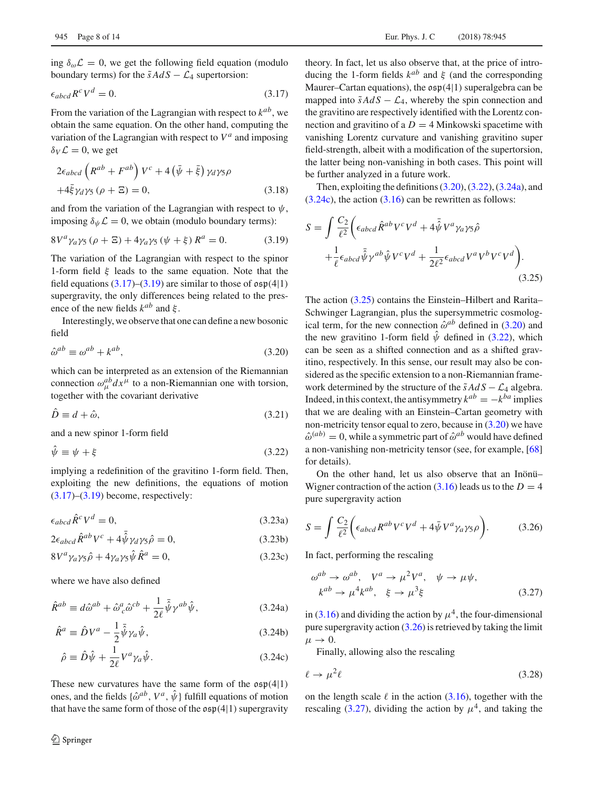ing  $\delta_{\omega} \mathcal{L} = 0$ , we get the following field equation (modulo boundary terms) for the  $\tilde{s}AdS - \mathcal{L}_4$  supertorsion:

$$
\epsilon_{abcd} R^c V^d = 0. \tag{3.17}
$$

From the variation of the Lagrangian with respect to *kab*, we obtain the same equation. On the other hand, computing the variation of the Lagrangian with respect to *V<sup>a</sup>* and imposing  $\delta_V \mathcal{L} = 0$ , we get

$$
2\epsilon_{abcd} \left( R^{ab} + F^{ab} \right) V^c + 4 \left( \bar{\psi} + \bar{\xi} \right) \gamma_d \gamma_5 \rho
$$
  
+4\bar{\xi} \gamma\_d \gamma\_5 (\rho + \Xi) = 0, \t(3.18)

and from the variation of the Lagrangian with respect to  $\psi$ , imposing  $\delta_{\psi} \mathcal{L} = 0$ , we obtain (modulo boundary terms):

$$
8V^{a}\gamma_{a}\gamma_{5}\left(\rho+E\right)+4\gamma_{a}\gamma_{5}\left(\psi+\xi\right)R^{a}=0.\tag{3.19}
$$

The variation of the Lagrangian with respect to the spinor 1-form field  $\xi$  leads to the same equation. Note that the field equations  $(3.17)$ – $(3.19)$  are similar to those of  $\mathfrak{osp}(4|1)$ supergravity, the only differences being related to the presence of the new fields  $k^{ab}$  and  $\xi$ .

Interestingly, we observe that one can define a new bosonic field

$$
\hat{\omega}^{ab} \equiv \omega^{ab} + k^{ab},\tag{3.20}
$$

which can be interpreted as an extension of the Riemannian connection  $\omega_{\mu}^{ab} dx^{\mu}$  to a non-Riemannian one with torsion, together with the covariant derivative

$$
\hat{D} \equiv d + \hat{\omega},\tag{3.21}
$$

and a new spinor 1-form field

$$
\hat{\psi} \equiv \psi + \xi \tag{3.22}
$$

implying a redefinition of the gravitino 1-form field. Then, exploiting the new definitions, the equations of motion  $(3.17)$ – $(3.19)$  become, respectively:

$$
\epsilon_{abcd}\hat{R}^c V^d = 0,\tag{3.23a}
$$

$$
2\epsilon_{abcd}\hat{R}^{ab}V^c + 4\bar{\hat{\psi}}\gamma_d\gamma_5\hat{\rho} = 0, \qquad (3.23b)
$$

$$
8V^a \gamma_a \gamma_5 \hat{\rho} + 4\gamma_a \gamma_5 \hat{\psi} \hat{R}^a = 0, \qquad (3.23c)
$$

where we have also defined

$$
\hat{R}^{ab} \equiv d\hat{\omega}^{ab} + \hat{\omega}^a_{\ c}\hat{\omega}^{cb} + \frac{1}{2\ell}\bar{\hat{\psi}}\gamma^{ab}\hat{\psi},\tag{3.24a}
$$

$$
\hat{R}^a \equiv \hat{D}V^a - \frac{1}{2}\bar{\hat{\psi}}\gamma_a\hat{\psi},\tag{3.24b}
$$

$$
\hat{\rho} \equiv \hat{D}\hat{\psi} + \frac{1}{2\ell}V^a \gamma_a \hat{\psi}.
$$
\n(3.24c)

These new curvatures have the same form of the  $\mathfrak{osp}(4|1)$ ones, and the fields  $\{\hat{\omega}^{ab}, V^a, \hat{\psi}\}\$  fulfill equations of motion that have the same form of those of the  $\mathfrak{osp}(4|1)$  supergravity

theory. In fact, let us also observe that, at the price of introducing the 1-form fields  $k^{ab}$  and  $\xi$  (and the corresponding Maurer–Cartan equations), the  $\mathfrak{osp}(4|1)$  superalgebra can be mapped into  $\tilde{s}AdS - \mathcal{L}_4$ , whereby the spin connection and the gravitino are respectively identified with the Lorentz connection and gravitino of a  $D = 4$  Minkowski spacetime with vanishing Lorentz curvature and vanishing gravitino super field-strength, albeit with a modification of the supertorsion, the latter being non-vanishing in both cases. This point will be further analyzed in a future work.

Then, exploiting the definitions (3.20), (3.22), (3.24a), and  $(3.24c)$ , the action  $(3.16)$  can be rewritten as follows:

$$
S = \int \frac{C_2}{\ell^2} \left( \epsilon_{abcd} \hat{R}^{ab} V^c V^d + 4 \bar{\hat{\psi}} V^a \gamma_a \gamma_5 \hat{\rho} \right. + \frac{1}{\ell} \epsilon_{abcd} \bar{\hat{\psi}} \gamma^{ab} \hat{\psi} V^c V^d + \frac{1}{2\ell^2} \epsilon_{abcd} V^a V^b V^c V^d \right). \tag{3.25}
$$

The action (3.25) contains the Einstein–Hilbert and Rarita– Schwinger Lagrangian, plus the supersymmetric cosmological term, for the new connection  $\hat{\omega}^{ab}$  defined in (3.20) and the new gravitino 1-form field  $\hat{\psi}$  defined in (3.22), which can be seen as a shifted connection and as a shifted gravitino, respectively. In this sense, our result may also be considered as the specific extension to a non-Riemannian framework determined by the structure of the  $\tilde{s}AdS - \mathcal{L}_4$  algebra. Indeed, in this context, the antisymmetry  $k^{ab} = -k^{ba}$  implies that we are dealing with an Einstein–Cartan geometry with non-metricity tensor equal to zero, because in  $(3.20)$  we have  $\hat{\omega}^{(ab)} = 0$ , while a symmetric part of  $\hat{\omega}^{ab}$  would have defined a non-vanishing non-metricity tensor (see, for example, [68] for details).

On the other hand, let us also observe that an Inönü– Wigner contraction of the action  $(3.16)$  leads us to the  $D = 4$ pure supergravity action

$$
S = \int \frac{C_2}{\ell^2} \bigg( \epsilon_{abcd} R^{ab} V^c V^d + 4 \bar{\psi} V^a \gamma_a \gamma_5 \rho \bigg). \tag{3.26}
$$

In fact, performing the rescaling

$$
\omega^{ab} \to \omega^{ab}, \quad V^a \to \mu^2 V^a, \quad \psi \to \mu \psi,
$$
  

$$
k^{ab} \to \mu^4 k^{ab}, \quad \xi \to \mu^3 \xi
$$
 (3.27)

in (3.16) and dividing the action by  $\mu^4$ , the four-dimensional pure supergravity action (3.26) is retrieved by taking the limit  $\mu \rightarrow 0$ .

Finally, allowing also the rescaling

$$
\ell \to \mu^2 \ell \tag{3.28}
$$

on the length scale  $\ell$  in the action (3.16), together with the rescaling (3.27), dividing the action by  $\mu^4$ , and taking the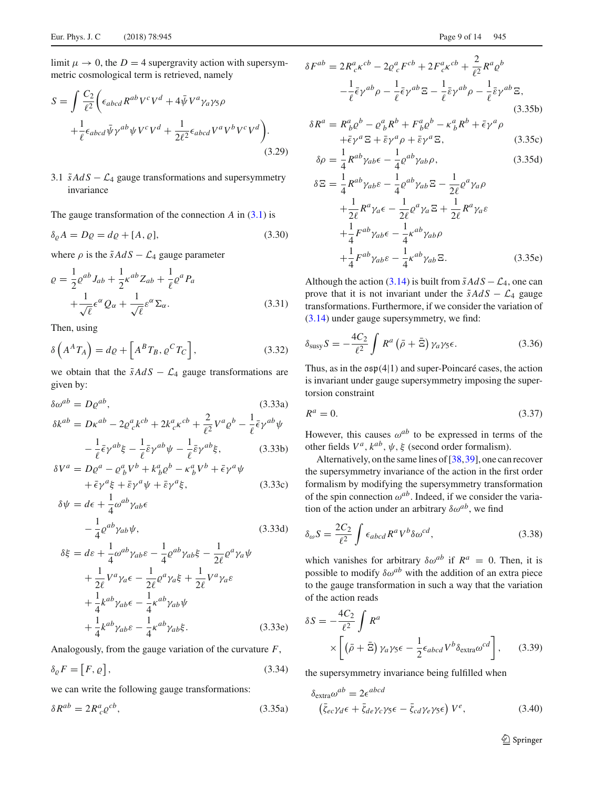limit  $\mu \to 0$ , the  $D = 4$  supergravity action with supersymmetric cosmological term is retrieved, namely

$$
S = \int \frac{C_2}{\ell^2} \left( \epsilon_{abcd} R^{ab} V^c V^d + 4 \bar{\psi} V^a \gamma_a \gamma_5 \rho + \frac{1}{\ell} \epsilon_{abcd} \bar{\psi} \gamma^{ab} \psi V^c V^d + \frac{1}{2\ell^2} \epsilon_{abcd} V^a V^b V^c V^d \right).
$$
\n(3.29)

3.1  $\tilde{s}AdS - \mathcal{L}_4$  gauge transformations and supersymmetry invariance

The gauge transformation of the connection  $A$  in  $(3.1)$  is

$$
\delta_{\varrho} A = D\varrho = d\varrho + [A, \varrho],\tag{3.30}
$$

where  $\rho$  is the  $\tilde{s}AdS - \mathcal{L}_4$  gauge parameter

$$
\varrho = \frac{1}{2} \varrho^{ab} J_{ab} + \frac{1}{2} \kappa^{ab} Z_{ab} + \frac{1}{\ell} \varrho^a P_a
$$
  
 
$$
+ \frac{1}{\sqrt{\ell}} \epsilon^{\alpha} Q_{\alpha} + \frac{1}{\sqrt{\ell}} \epsilon^{\alpha} \Sigma_{\alpha}.
$$
 (3.31)

Then, using

$$
\delta\left(A^A T_A\right) = d\varrho + \left[A^B T_B, \varrho^C T_C\right],\tag{3.32}
$$

we obtain that the  $\tilde{s}AdS - \mathcal{L}_4$  gauge transformations are given by:

$$
\delta\omega^{ab} = D\varrho^{ab},\tag{3.33a}
$$
\n
$$
\delta k^{ab} = D\kappa^{ab} - 2\varrho^a_{\ c}k^{cb} + 2k^a_{\ c}\kappa^{cb} + \frac{2}{\ell^2}V^a\varrho^b - \frac{1}{\ell}\bar{\epsilon}\gamma^{ab}\psi
$$
\n
$$
-\frac{1}{\ell}\bar{\epsilon}\gamma^{ab}\xi - \frac{1}{\ell}\bar{\epsilon}\gamma^{ab}\psi - \frac{1}{\ell}\bar{\epsilon}\gamma^{ab}\xi,\tag{3.33b}
$$
\n
$$
\delta V^a = D\varrho^a - \varrho^a V^b + k^a P^b - \varrho^a V^b + \bar{\epsilon}\varrho^a\psi
$$

$$
\delta V^{a} = D\varrho^{a} - \varrho^{a}_{b}V^{b} + k^{a}_{b}\varrho^{b} - \kappa^{a}_{b}V^{b} + \bar{\epsilon}\gamma^{a}\psi
$$
  
 
$$
+ \bar{\epsilon}\gamma^{a}\xi + \bar{\epsilon}\gamma^{a}\psi + \bar{\epsilon}\gamma^{a}\xi, \qquad (3.33c)
$$

$$
\delta \psi = d\epsilon + \frac{1}{4} \omega^{ab} \gamma_{ab} \epsilon -\frac{1}{4} \varrho^{ab} \gamma_{ab} \psi,
$$
 (3.33d)

$$
\delta \xi = d\varepsilon + \frac{1}{4} \omega^{ab} \gamma_{ab} \varepsilon - \frac{1}{4} \varrho^{ab} \gamma_{ab} \xi - \frac{1}{2\ell} \varrho^a \gamma_a \psi \n+ \frac{1}{2\ell} V^a \gamma_a \varepsilon - \frac{1}{2\ell} \varrho^a \gamma_a \xi + \frac{1}{2\ell} V^a \gamma_a \varepsilon \n+ \frac{1}{4} k^{ab} \gamma_{ab} \varepsilon - \frac{1}{4} \kappa^{ab} \gamma_{ab} \psi \n+ \frac{1}{4} k^{ab} \gamma_{ab} \varepsilon - \frac{1}{4} \kappa^{ab} \gamma_{ab} \xi.
$$
\n(3.33e)

Analogously, from the gauge variation of the curvature *F*,

$$
\delta_{\varrho} F = [F, \varrho], \tag{3.34}
$$

we can write the following gauge transformations:

$$
\delta R^{ab} = 2R^a_{\ c} \varrho^{cb},\tag{3.35a}
$$

$$
\delta F^{ab} = 2R_c^a \kappa^{cb} - 2\varrho_c^a F^{cb} + 2F_c^a \kappa^{cb} + \frac{2}{\ell^2} R^a \varrho^b
$$

$$
-\frac{1}{\ell} \bar{\epsilon} \gamma^{ab} \rho - \frac{1}{\ell} \bar{\epsilon} \gamma^{ab} \Xi - \frac{1}{\ell} \bar{\epsilon} \gamma^{ab} \rho - \frac{1}{\ell} \bar{\epsilon} \gamma^{ab} \Xi,
$$
(3.35b)

$$
\delta R^a = R^a_{\ b} \varrho^b - \varrho^a_{\ b} R^b + F^a_{\ b} \varrho^b - \kappa^a_{\ b} R^b + \bar{\epsilon} \gamma^a \rho + \bar{\epsilon} \gamma^a \Xi + \bar{\epsilon} \gamma^a \rho + \bar{\epsilon} \gamma^a \Xi, \tag{3.35c}
$$

$$
\delta \rho = \frac{1}{4} R^{ab} \gamma_{ab} \epsilon - \frac{1}{4} \varrho^{ab} \gamma_{ab} \rho, \qquad (3.35d)
$$

$$
\delta \Xi = \frac{1}{4} R^{ab} \gamma_{ab} \varepsilon - \frac{1}{4} \rho^{ab} \gamma_{ab} \Xi - \frac{1}{2\ell} \rho^a \gamma_a \rho + \frac{1}{2\ell} R^a \gamma_a \epsilon - \frac{1}{2\ell} \rho^a \gamma_a \Xi + \frac{1}{2\ell} R^a \gamma_a \epsilon + \frac{1}{4} F^{ab} \gamma_{ab} \epsilon - \frac{1}{4} \kappa^{ab} \gamma_{ab} \rho + \frac{1}{4} F^{ab} \gamma_{ab} \epsilon - \frac{1}{4} \kappa^{ab} \gamma_{ab} \Xi.
$$
 (3.35e)

Although the action (3.14) is built from  $\tilde{s}AdS - \mathcal{L}_4$ , one can prove that it is not invariant under the  $\tilde{s}AdS - \mathcal{L}_4$  gauge transformations. Furthermore, if we consider the variation of (3.14) under gauge supersymmetry, we find:

$$
\delta_{\text{susy}} S = -\frac{4C_2}{\ell^2} \int R^a \left( \bar{\rho} + \bar{\Xi} \right) \gamma_a \gamma_5 \epsilon. \tag{3.36}
$$

Thus, as in the  $\mathfrak{osp}(4|1)$  and super-Poincaré cases, the action is invariant under gauge supersymmetry imposing the supertorsion constraint

$$
R^a = 0.\t\t(3.37)
$$

However, this causes  $\omega^{ab}$  to be expressed in terms of the other fields  $V^a$ ,  $k^{ab}$ ,  $\psi$ ,  $\xi$  (second order formalism).

Alternatively, on the same lines of [38,39], one can recover the supersymmetry invariance of the action in the first order formalism by modifying the supersymmetry transformation of the spin connection  $\omega^{ab}$ . Indeed, if we consider the variation of the action under an arbitrary  $\delta \omega^{ab}$ , we find

$$
\delta_{\omega} S = \frac{2C_2}{\ell^2} \int \epsilon_{abcd} R^a V^b \delta \omega^{cd}, \qquad (3.38)
$$

which vanishes for arbitrary  $\delta \omega^{ab}$  if  $R^a = 0$ . Then, it is possible to modify  $\delta \omega^{ab}$  with the addition of an extra piece to the gauge transformation in such a way that the variation of the action reads

$$
\delta S = -\frac{4C_2}{\ell^2} \int R^a
$$
  
 
$$
\times \left[ \left( \bar{\rho} + \bar{\Xi} \right) \gamma_a \gamma_5 \epsilon - \frac{1}{2} \epsilon_{abcd} V^b \delta_{\text{extra}} \omega^{cd} \right], \quad (3.39)
$$

the supersymmetry invariance being fulfilled when

$$
\delta_{\text{extra}} \omega^{ab} = 2\epsilon^{abcd}
$$
  

$$
(\bar{\zeta}_{ec}\gamma_d \epsilon + \bar{\zeta}_{de}\gamma_c \gamma_5 \epsilon - \bar{\zeta}_{cd}\gamma_e \gamma_5 \epsilon) V^e,
$$
 (3.40)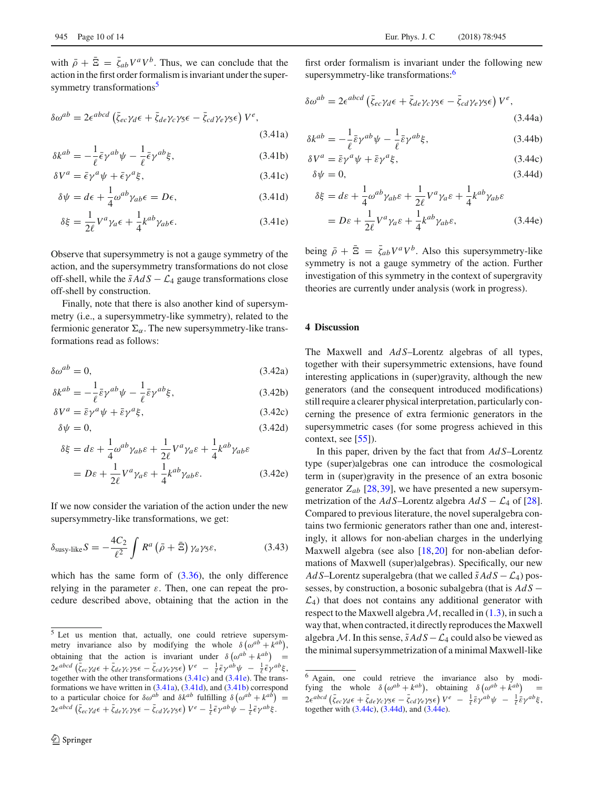$$
\delta\omega^{ab} = 2\epsilon^{abcd} \left( \bar{\zeta}_{ec} \gamma_d \epsilon + \bar{\zeta}_{de} \gamma_c \gamma_5 \epsilon - \bar{\zeta}_{cd} \gamma_e \gamma_5 \epsilon \right) V^e,
$$
\n(3.41a)

$$
\delta k^{ab} = -\frac{1}{\ell} \bar{\epsilon} \gamma^{ab} \psi - \frac{1}{\ell} \bar{\epsilon} \gamma^{ab} \xi, \qquad (3.41b)
$$

$$
\delta V^a = \bar{\epsilon} \gamma^a \psi + \bar{\epsilon} \gamma^a \xi, \qquad (3.41c)
$$

$$
\delta \psi = d\epsilon + \frac{1}{4} \omega^{ab} \gamma_{ab} \epsilon = D\epsilon, \qquad (3.41d)
$$

$$
\delta \xi = \frac{1}{2\ell} V^a \gamma_a \epsilon + \frac{1}{4} k^{ab} \gamma_{ab} \epsilon.
$$
 (3.41e)

Observe that supersymmetry is not a gauge symmetry of the action, and the supersymmetry transformations do not close off-shell, while the  $\tilde{s}AdS - \mathcal{L}_4$  gauge transformations close off-shell by construction.

Finally, note that there is also another kind of supersymmetry (i.e., a supersymmetry-like symmetry), related to the fermionic generator  $\Sigma_{\alpha}$ . The new supersymmetry-like transformations read as follows:

$$
\delta \omega^{ab} = 0,\tag{3.42a}
$$

$$
\delta k^{ab} = -\frac{1}{\ell} \bar{\varepsilon} \gamma^{ab} \psi - \frac{1}{\ell} \bar{\varepsilon} \gamma^{ab} \xi, \qquad (3.42b)
$$

$$
\delta V^a = \bar{\varepsilon} \gamma^a \psi + \bar{\varepsilon} \gamma^a \xi, \qquad (3.42c)
$$

$$
\delta \psi = 0,\tag{3.42d}
$$

$$
\delta \xi = d\varepsilon + \frac{1}{4} \omega^{ab} \gamma_{ab} \varepsilon + \frac{1}{2\ell} V^a \gamma_a \varepsilon + \frac{1}{4} k^{ab} \gamma_{ab} \varepsilon
$$
  
=  $D\varepsilon + \frac{1}{2\ell} V^a \gamma_a \varepsilon + \frac{1}{4} k^{ab} \gamma_{ab} \varepsilon.$  (3.42e)

If we now consider the variation of the action under the new supersymmetry-like transformations, we get:

$$
\delta_{\text{susy-like}} S = -\frac{4C_2}{\ell^2} \int R^a \left( \bar{\rho} + \bar{\Xi} \right) \gamma_a \gamma_5 \varepsilon, \tag{3.43}
$$

which has the same form of (3.36), the only difference relying in the parameter  $\varepsilon$ . Then, one can repeat the procedure described above, obtaining that the action in the

first order formalism is invariant under the following new supersymmetry-like transformations:<sup>6</sup>

$$
\delta\omega^{ab} = 2\epsilon^{abcd} \left( \bar{\zeta}_{ec} \gamma_d \epsilon + \bar{\zeta}_{de} \gamma_c \gamma_5 \epsilon - \bar{\zeta}_{cd} \gamma_e \gamma_5 \epsilon \right) V^e,
$$
\n(3.44a)

$$
\delta k^{ab} = -\frac{1}{\ell} \bar{\varepsilon} \gamma^{ab} \psi - \frac{1}{\ell} \bar{\varepsilon} \gamma^{ab} \xi, \qquad (3.44b)
$$

$$
\delta V^a = \bar{\varepsilon} \gamma^a \psi + \bar{\varepsilon} \gamma^a \xi, \qquad (3.44c)
$$

$$
\delta \psi = 0,\tag{3.44d}
$$

$$
\delta \xi = d\varepsilon + \frac{1}{4} \omega^{ab} \gamma_{ab} \varepsilon + \frac{1}{2\ell} V^a \gamma_a \varepsilon + \frac{1}{4} k^{ab} \gamma_{ab} \varepsilon
$$
  
=  $D\varepsilon + \frac{1}{2\ell} V^a \gamma_a \varepsilon + \frac{1}{4} k^{ab} \gamma_{ab} \varepsilon,$  (3.44e)

being  $\bar{\rho} + \bar{\Xi} = \bar{\zeta}_{ab} V^a V^b$ . Also this supersymmetry-like symmetry is not a gauge symmetry of the action. Further investigation of this symmetry in the context of supergravity theories are currently under analysis (work in progress).

#### **4 Discussion**

The Maxwell and *AdS*–Lorentz algebras of all types, together with their supersymmetric extensions, have found interesting applications in (super)gravity, although the new generators (and the consequent introduced modifications) still require a clearer physical interpretation, particularly concerning the presence of extra fermionic generators in the supersymmetric cases (for some progress achieved in this context, see [55]).

In this paper, driven by the fact that from *Ad S*–Lorentz type (super)algebras one can introduce the cosmological term in (super)gravity in the presence of an extra bosonic generator  $Z_{ab}$  [28,39], we have presented a new supersymmetrization of the *Ad* S–Lorentz algebra  $AdS - \mathcal{L}_4$  of [28]. Compared to previous literature, the novel superalgebra contains two fermionic generators rather than one and, interestingly, it allows for non-abelian charges in the underlying Maxwell algebra (see also [18,20] for non-abelian deformations of Maxwell (super)algebras). Specifically, our new *Ad S*–Lorentz superalgebra (that we called  $\tilde{s}AdS - \mathcal{L}_4$ ) possesses, by construction, a bosonic subalgebra (that is  $AdS$  −  $\mathcal{L}_4$ ) that does not contains any additional generator with respect to the Maxwell algebra  $M$ , recalled in  $(1.3)$ , in such a way that, when contracted, it directly reproduces the Maxwell algebra *M*. In this sense,  $\tilde{s}AdS - \mathcal{L}_4$  could also be viewed as the minimal supersymmetrization of a minimal Maxwell-like

<sup>5</sup> Let us mention that, actually, one could retrieve supersymmetry invariance also by modifying the whole  $\delta(\omega^{ab} + k^{ab})$ , obtaining that the action is invariant under  $\delta(\omega^{ab} + k^{ab})$  =  $2\epsilon^{abcd}\left(\bar{\zeta}_{ec}\gamma_d\epsilon + \bar{\zeta}_{de}\gamma_c\gamma_5\epsilon - \bar{\zeta}_{cd}\gamma_e\gamma_5\epsilon\right)V^e - \frac{1}{\ell}\bar{\epsilon}\gamma^{ab}\psi - \frac{1}{\ell}\bar{\epsilon}\gamma^{ab}\xi,$ together with the other transformations (3.41c) and (3.41e). The transformations we have written in (3.41a), (3.41d), and (3.41b) correspond to a particular choice for  $\delta \omega^{ab}$  and  $\delta k^{ab}$  fulfilling  $\delta (\omega^{ab} + k^{ab}) =$  $2\epsilon^{abcd}\left(\bar{\zeta}_{ec}\gamma_d\epsilon + \bar{\zeta}_{de}\gamma_c\gamma_5\epsilon - \bar{\zeta}_{cd}\gamma_e\gamma_5\epsilon\right)V^e - \frac{1}{\ell}\bar{\epsilon}\gamma^{ab}\psi - \frac{1}{\ell}\bar{\epsilon}\gamma^{ab}\xi.$ 

<sup>6</sup> Again, one could retrieve the invariance also by modifying the whole  $\delta(\omega^{ab} + k^{ab})$ , obtaining  $\delta(\omega^{ab} + k^{ab})$  =  $2\epsilon^{abcd}\left(\bar{\zeta}_{ec}\gamma_d\epsilon + \bar{\zeta}_{de}\gamma_c\gamma_5\epsilon - \bar{\zeta}_{cd}\gamma_e\gamma_5\epsilon\right)V^e - \frac{1}{\ell}\bar{\epsilon}\gamma^{ab}\psi - \frac{1}{\ell}\bar{\epsilon}\gamma^{ab}\xi,$ together with (3.44c), (3.44d), and (3.44e).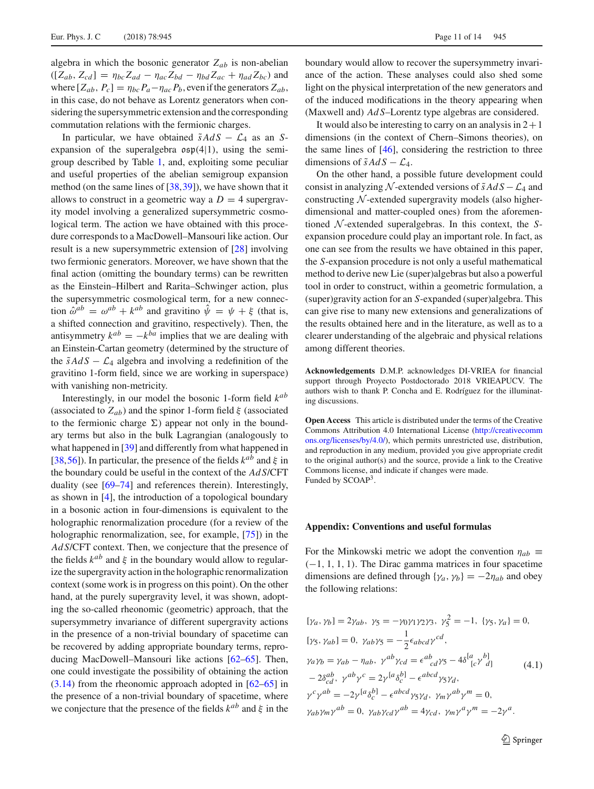algebra in which the bosonic generator  $Z_{ab}$  is non-abelian  $([Z_{ab}, Z_{cd}] = \eta_{bc} Z_{ad} - \eta_{ac} Z_{bd} - \eta_{bd} Z_{ac} + \eta_{ad} Z_{bc})$  and where  $[Z_{ab}, P_c] = \eta_{bc} P_a - \eta_{ac} P_b$ , even if the generators  $Z_{ab}$ , in this case, do not behave as Lorentz generators when considering the supersymmetric extension and the corresponding commutation relations with the fermionic charges.

In particular, we have obtained  $\tilde{s}AdS - \mathcal{L}_4$  as an *S*expansion of the superalgebra  $\mathfrak{osp}(4|1)$ , using the semigroup described by Table 1, and, exploiting some peculiar and useful properties of the abelian semigroup expansion method (on the same lines of [38,39]), we have shown that it allows to construct in a geometric way a  $D = 4$  supergravity model involving a generalized supersymmetric cosmological term. The action we have obtained with this procedure corresponds to a MacDowell–Mansouri like action. Our result is a new supersymmetric extension of [28] involving two fermionic generators. Moreover, we have shown that the final action (omitting the boundary terms) can be rewritten as the Einstein–Hilbert and Rarita–Schwinger action, plus the supersymmetric cosmological term, for a new connection  $\hat{\omega}^{ab} = \omega^{ab} + k^{ab}$  and gravitino  $\hat{\psi} = \psi + \xi$  (that is, a shifted connection and gravitino, respectively). Then, the antisymmetry  $k^{ab} = -k^{ba}$  implies that we are dealing with an Einstein-Cartan geometry (determined by the structure of the  $\tilde{s}AdS - \mathcal{L}_4$  algebra and involving a redefinition of the gravitino 1-form field, since we are working in superspace) with vanishing non-metricity.

Interestingly, in our model the bosonic 1-form field *kab* (associated to  $Z_{ab}$ ) and the spinor 1-form field  $\xi$  (associated to the fermionic charge  $\Sigma$ ) appear not only in the boundary terms but also in the bulk Lagrangian (analogously to what happened in [39] and differently from what happened in [38,56]). In particular, the presence of the fields  $k^{ab}$  and  $\xi$  in the boundary could be useful in the context of the *Ad S*/CFT duality (see [69–74] and references therein). Interestingly, as shown in [4], the introduction of a topological boundary in a bosonic action in four-dimensions is equivalent to the holographic renormalization procedure (for a review of the holographic renormalization, see, for example, [75]) in the *Ad S*/CFT context. Then, we conjecture that the presence of the fields  $k^{ab}$  and  $\xi$  in the boundary would allow to regularize the supergravity action in the holographic renormalization context (some work is in progress on this point). On the other hand, at the purely supergravity level, it was shown, adopting the so-called rheonomic (geometric) approach, that the supersymmetry invariance of different supergravity actions in the presence of a non-trivial boundary of spacetime can be recovered by adding appropriate boundary terms, reproducing MacDowell–Mansouri like actions [62–65]. Then, one could investigate the possibility of obtaining the action (3.14) from the rheonomic approach adopted in [62–65] in the presence of a non-trivial boundary of spacetime, where we conjecture that the presence of the fields  $k^{ab}$  and  $\xi$  in the

boundary would allow to recover the supersymmetry invariance of the action. These analyses could also shed some light on the physical interpretation of the new generators and of the induced modifications in the theory appearing when (Maxwell and) *Ad S*–Lorentz type algebras are considered.

It would also be interesting to carry on an analysis in  $2+1$ dimensions (in the context of Chern–Simons theories), on the same lines of [46], considering the restriction to three dimensions of  $\tilde{s}AdS - \mathcal{L}_4$ .

On the other hand, a possible future development could consist in analyzing N-extended versions of  $\tilde{s}AdS - \mathcal{L}_4$  and constructing *N* -extended supergravity models (also higherdimensional and matter-coupled ones) from the aforementioned *N* -extended superalgebras. In this context, the *S*expansion procedure could play an important role. In fact, as one can see from the results we have obtained in this paper, the *S*-expansion procedure is not only a useful mathematical method to derive new Lie (super)algebras but also a powerful tool in order to construct, within a geometric formulation, a (super)gravity action for an *S*-expanded (super)algebra. This can give rise to many new extensions and generalizations of the results obtained here and in the literature, as well as to a clearer understanding of the algebraic and physical relations among different theories.

**Acknowledgements** D.M.P. acknowledges DI-VRIEA for financial support through Proyecto Postdoctorado 2018 VRIEAPUCV. The authors wish to thank P. Concha and E. Rodríguez for the illuminating discussions.

**Open Access** This article is distributed under the terms of the Creative Commons Attribution 4.0 International License [\(http://creativecomm](http://creativecommons.org/licenses/by/4.0/) [ons.org/licenses/by/4.0/\)](http://creativecommons.org/licenses/by/4.0/), which permits unrestricted use, distribution, and reproduction in any medium, provided you give appropriate credit to the original author(s) and the source, provide a link to the Creative Commons license, and indicate if changes were made. Funded by SCOAP<sup>3</sup>.

#### **Appendix: Conventions and useful formulas**

For the Minkowski metric we adopt the convention  $\eta_{ab} \equiv$  $(-1, 1, 1, 1)$ . The Dirac gamma matrices in four spacetime dimensions are defined through { $\gamma_a$ ,  $\gamma_b$ } = −2 $\eta_{ab}$  and obey the following relations:

$$
[\gamma_a, \gamma_b] = 2\gamma_{ab}, \ \gamma_5 = -\gamma_0 \gamma_1 \gamma_2 \gamma_3, \ \gamma_5^2 = -1, \ \{\gamma_5, \gamma_a\} = 0,
$$
  
\n
$$
[\gamma_5, \gamma_{ab}] = 0, \ \gamma_{ab} \gamma_5 = -\frac{1}{2} \epsilon_{abcd} \gamma^{cd},
$$
  
\n
$$
\gamma_a \gamma_b = \gamma_{ab} - \eta_{ab}, \ \gamma^{ab} \gamma_{cd} = \epsilon^{ab}_{cd} \gamma_5 - 4\delta^{[a}_{[c} \gamma^{b]}_{d]}
$$
  
\n
$$
-2\delta^{ab}_{cd}, \ \gamma^{ab} \gamma^c = 2\gamma^{[a} \delta^{b]}_{c} - \epsilon^{abcd} \gamma_5 \gamma_d,
$$
  
\n
$$
\gamma^c \gamma^{ab} = -2\gamma^{[a} \delta^{b]}_{c} - \epsilon^{abcd} \gamma_5 \gamma_d, \ \gamma_m \gamma^{ab} \gamma^m = 0,
$$
  
\n
$$
\gamma_{ab} \gamma_m \gamma^{ab} = 0, \ \gamma_{ab} \gamma_{cd} \gamma^{ab} = 4\gamma_{cd}, \ \gamma_m \gamma^a \gamma^m = -2\gamma^a.
$$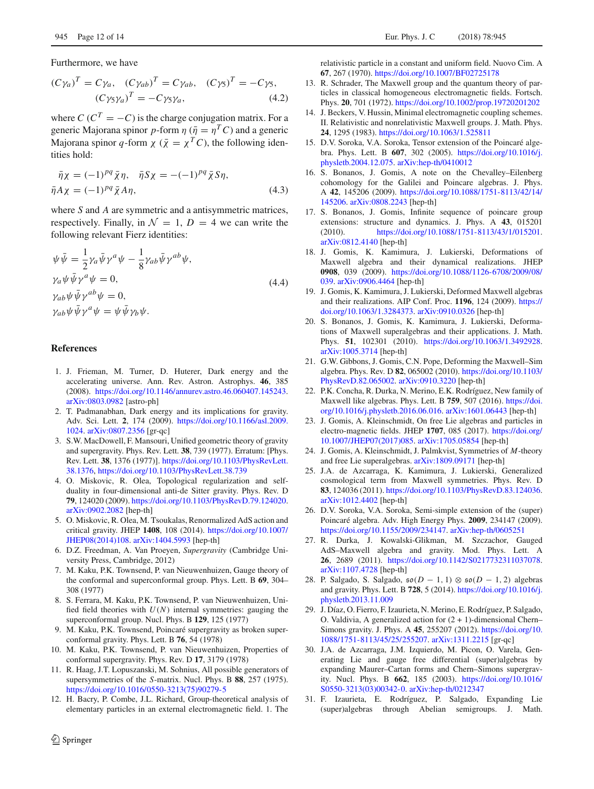Furthermore, we have

$$
(C\gamma_a)^T = C\gamma_a, (C\gamma_{ab})^T = C\gamma_{ab}, (C\gamma_5)^T = -C\gamma_5,
$$
  

$$
(C\gamma_5\gamma_a)^T = -C\gamma_5\gamma_a, (4.2)
$$

where  $C(C^T = -C)$  is the charge conjugation matrix. For a generic Majorana spinor *p*-form  $\eta$  ( $\bar{\eta} = \eta^T C$ ) and a generic Majorana spinor *q*-form  $\chi$  ( $\bar{\chi} = \chi^T C$ ), the following identities hold:

$$
\begin{aligned}\n\bar{\eta}\chi &= (-1)^{pq}\bar{\chi}\eta, & \bar{\eta}S\chi &= -(-1)^{pq}\bar{\chi}S\eta, \\
\bar{\eta}A\chi &= (-1)^{pq}\bar{\chi}A\eta,\n\end{aligned} \tag{4.3}
$$

where *S* and *A* are symmetric and a antisymmetric matrices, respectively. Finally, in  $\mathcal{N} = 1$ ,  $D = 4$  we can write the following relevant Fierz identities:

$$
\psi \bar{\psi} = \frac{1}{2} \gamma_a \bar{\psi} \gamma^a \psi - \frac{1}{8} \gamma_{ab} \bar{\psi} \gamma^{ab} \psi,
$$
  
\n
$$
\gamma_a \psi \bar{\psi} \gamma^a \psi = 0,
$$
  
\n
$$
\gamma_{ab} \psi \bar{\psi} \gamma^{ab} \psi = 0,
$$
  
\n
$$
\gamma_{ab} \psi \bar{\psi} \gamma^a \psi = \psi \bar{\psi} \gamma_b \psi.
$$
  
\n(4.4)

### **References**

- 1. J. Frieman, M. Turner, D. Huterer, Dark energy and the accelerating universe. Ann. Rev. Astron. Astrophys. **46**, 385 (2008). [https://doi.org/10.1146/annurev.astro.46.060407.145243.](https://doi.org/10.1146/annurev.astro.46.060407.145243) [arXiv:0803.0982](http://arxiv.org/abs/0803.0982) [astro-ph]
- 2. T. Padmanabhan, Dark energy and its implications for gravity. Adv. Sci. Lett. **2**, 174 (2009). [https://doi.org/10.1166/asl.2009.](https://doi.org/10.1166/asl.2009.1024) [1024.](https://doi.org/10.1166/asl.2009.1024) [arXiv:0807.2356](http://arxiv.org/abs/0807.2356) [gr-qc]
- 3. S.W. MacDowell, F. Mansouri, Unified geometric theory of gravity and supergravity. Phys. Rev. Lett. **38**, 739 (1977). Erratum: [Phys. Rev. Lett. **38**, 1376 (1977)]. [https://doi.org/10.1103/PhysRevLett.](https://doi.org/10.1103/PhysRevLett.38.1376) [38.1376,](https://doi.org/10.1103/PhysRevLett.38.1376) <https://doi.org/10.1103/PhysRevLett.38.739>
- 4. O. Miskovic, R. Olea, Topological regularization and selfduality in four-dimensional anti-de Sitter gravity. Phys. Rev. D **79**, 124020 (2009). [https://doi.org/10.1103/PhysRevD.79.124020.](https://doi.org/10.1103/PhysRevD.79.124020) [arXiv:0902.2082](http://arxiv.org/abs/0902.2082) [hep-th]
- 5. O. Miskovic, R. Olea, M. Tsoukalas, Renormalized AdS action and critical gravity. JHEP **1408**, 108 (2014). [https://doi.org/10.1007/](https://doi.org/10.1007/JHEP08(2014)108) [JHEP08\(2014\)108.](https://doi.org/10.1007/JHEP08(2014)108) [arXiv:1404.5993](http://arxiv.org/abs/1404.5993) [hep-th]
- 6. D.Z. Freedman, A. Van Proeyen, *Supergravity* (Cambridge University Press, Cambridge, 2012)
- 7. M. Kaku, P.K. Townsend, P. van Nieuwenhuizen, Gauge theory of the conformal and superconformal group. Phys. Lett. B **69**, 304– 308 (1977)
- 8. S. Ferrara, M. Kaku, P.K. Townsend, P. van Nieuwenhuizen, Unified field theories with  $U(N)$  internal symmetries: gauging the superconformal group. Nucl. Phys. B **129**, 125 (1977)
- 9. M. Kaku, P.K. Townsend, Poincaré supergravity as broken superconformal gravity. Phys. Lett. B **76**, 54 (1978)
- 10. M. Kaku, P.K. Townsend, P. van Nieuwenhuizen, Properties of conformal supergravity. Phys. Rev. D **17**, 3179 (1978)
- 11. R. Haag, J.T. Lopuszanski, M. Sohnius, All possible generators of supersymmetries of the *S*-matrix. Nucl. Phys. B **88**, 257 (1975). [https://doi.org/10.1016/0550-3213\(75\)90279-5](https://doi.org/10.1016/0550-3213(75)90279-5)
- 12. H. Bacry, P. Combe, J.L. Richard, Group-theoretical analysis of elementary particles in an external electromagnetic field. 1. The

relativistic particle in a constant and uniform field. Nuovo Cim. A **67**, 267 (1970). <https://doi.org/10.1007/BF02725178>

- 13. R. Schrader, The Maxwell group and the quantum theory of particles in classical homogeneous electromagnetic fields. Fortsch. Phys. **20**, 701 (1972). <https://doi.org/10.1002/prop.19720201202>
- 14. J. Beckers, V. Hussin, Minimal electromagnetic coupling schemes. II. Relativistic and nonrelativistic Maxwell groups. J. Math. Phys. **24**, 1295 (1983). <https://doi.org/10.1063/1.525811>
- 15. D.V. Soroka, V.A. Soroka, Tensor extension of the Poincaré algebra. Phys. Lett. B **607**, 302 (2005). [https://doi.org/10.1016/j.](https://doi.org/10.1016/j.physletb.2004.12.075) [physletb.2004.12.075.](https://doi.org/10.1016/j.physletb.2004.12.075) [arXiv:hep-th/0410012](http://arxiv.org/abs/hep-th/0410012)
- 16. S. Bonanos, J. Gomis, A note on the Chevalley–Eilenberg cohomology for the Galilei and Poincare algebras. J. Phys. A **42**, 145206 (2009). [https://doi.org/10.1088/1751-8113/42/14/](https://doi.org/10.1088/1751-8113/42/14/145206) [145206.](https://doi.org/10.1088/1751-8113/42/14/145206) [arXiv:0808.2243](http://arxiv.org/abs/0808.2243) [hep-th]
- 17. S. Bonanos, J. Gomis, Infinite sequence of poincare group extensions: structure and dynamics. J. Phys. A **43**, 015201 (2010). [https://doi.org/10.1088/1751-8113/43/1/015201.](https://doi.org/10.1088/1751-8113/43/1/015201) [arXiv:0812.4140](http://arxiv.org/abs/0812.4140) [hep-th]
- 18. J. Gomis, K. Kamimura, J. Lukierski, Deformations of Maxwell algebra and their dynamical realizations. JHEP **0908**, 039 (2009). [https://doi.org/10.1088/1126-6708/2009/08/](https://doi.org/10.1088/1126-6708/2009/08/039) [039.](https://doi.org/10.1088/1126-6708/2009/08/039) [arXiv:0906.4464](http://arxiv.org/abs/0906.4464) [hep-th]
- 19. J. Gomis, K. Kamimura, J. Lukierski, Deformed Maxwell algebras and their realizations. AIP Conf. Proc. **1196**, 124 (2009). [https://](https://doi.org/10.1063/1.3284373) [doi.org/10.1063/1.3284373.](https://doi.org/10.1063/1.3284373) [arXiv:0910.0326](http://arxiv.org/abs/0910.0326) [hep-th]
- 20. S. Bonanos, J. Gomis, K. Kamimura, J. Lukierski, Deformations of Maxwell superalgebras and their applications. J. Math. Phys. **51**, 102301 (2010). [https://doi.org/10.1063/1.3492928.](https://doi.org/10.1063/1.3492928) [arXiv:1005.3714](http://arxiv.org/abs/1005.3714) [hep-th]
- 21. G.W. Gibbons, J. Gomis, C.N. Pope, Deforming the Maxwell–Sim algebra. Phys. Rev. D **82**, 065002 (2010). [https://doi.org/10.1103/](https://doi.org/10.1103/PhysRevD.82.065002) [PhysRevD.82.065002.](https://doi.org/10.1103/PhysRevD.82.065002) [arXiv:0910.3220](http://arxiv.org/abs/0910.3220) [hep-th]
- 22. P.K. Concha, R. Durka, N. Merino, E.K. Rodríguez, New family of Maxwell like algebras. Phys. Lett. B **759**, 507 (2016). [https://doi.](https://doi.org/10.1016/j.physletb.2016.06.016) [org/10.1016/j.physletb.2016.06.016.](https://doi.org/10.1016/j.physletb.2016.06.016) [arXiv:1601.06443](http://arxiv.org/abs/1601.06443) [hep-th]
- 23. J. Gomis, A. Kleinschmidt, On free Lie algebras and particles in electro-magnetic fields. JHEP **1707**, 085 (2017). [https://doi.org/](https://doi.org/10.1007/JHEP07(2017)085) [10.1007/JHEP07\(2017\)085.](https://doi.org/10.1007/JHEP07(2017)085) [arXiv:1705.05854](http://arxiv.org/abs/1705.05854) [hep-th]
- 24. J. Gomis, A. Kleinschmidt, J. Palmkvist, Symmetries of *M*-theory and free Lie superalgebras. [arXiv:1809.09171](http://arxiv.org/abs/1809.09171) [hep-th]
- 25. J.A. de Azcarraga, K. Kamimura, J. Lukierski, Generalized cosmological term from Maxwell symmetries. Phys. Rev. D **83**, 124036 (2011). [https://doi.org/10.1103/PhysRevD.83.124036.](https://doi.org/10.1103/PhysRevD.83.124036) [arXiv:1012.4402](http://arxiv.org/abs/1012.4402) [hep-th]
- 26. D.V. Soroka, V.A. Soroka, Semi-simple extension of the (super) Poincaré algebra. Adv. High Energy Phys. **2009**, 234147 (2009). [https://doi.org/10.1155/2009/234147.](https://doi.org/10.1155/2009/234147) [arXiv:hep-th/0605251](http://arxiv.org/abs/hep-th/0605251)
- 27. R. Durka, J. Kowalski-Glikman, M. Szczachor, Gauged AdS–Maxwell algebra and gravity. Mod. Phys. Lett. A **26**, 2689 (2011). [https://doi.org/10.1142/S0217732311037078.](https://doi.org/10.1142/S0217732311037078) [arXiv:1107.4728](http://arxiv.org/abs/1107.4728) [hep-th]
- 28. P. Salgado, S. Salgado, so(*<sup>D</sup>* <sup>−</sup> <sup>1</sup>, <sup>1</sup>) <sup>⊗</sup> so(*<sup>D</sup>* <sup>−</sup> <sup>1</sup>, <sup>2</sup>) algebras and gravity. Phys. Lett. B **728**, 5 (2014). [https://doi.org/10.1016/j.](https://doi.org/10.1016/j.physletb.2013.11.009) [physletb.2013.11.009](https://doi.org/10.1016/j.physletb.2013.11.009)
- 29. J. Díaz, O. Fierro, F. Izaurieta, N. Merino, E. Rodríguez, P. Salgado, O. Valdivia, A generalized action for  $(2 + 1)$ -dimensional Chern– Simons gravity. J. Phys. A **45**, 255207 (2012). [https://doi.org/10.](https://doi.org/10.1088/1751-8113/45/25/255207) [1088/1751-8113/45/25/255207.](https://doi.org/10.1088/1751-8113/45/25/255207) [arXiv:1311.2215](http://arxiv.org/abs/1311.2215) [gr-qc]
- 30. J.A. de Azcarraga, J.M. Izquierdo, M. Picon, O. Varela, Generating Lie and gauge free differential (super)algebras by expanding Maurer–Cartan forms and Chern–Simons supergravity. Nucl. Phys. B **662**, 185 (2003). [https://doi.org/10.1016/](https://doi.org/10.1016/S0550-3213(03)00342-0) [S0550-3213\(03\)00342-0.](https://doi.org/10.1016/S0550-3213(03)00342-0) [arXiv:hep-th/0212347](http://arxiv.org/abs/hep-th/0212347)
- 31. F. Izaurieta, E. Rodríguez, P. Salgado, Expanding Lie (super)algebras through Abelian semigroups. J. Math.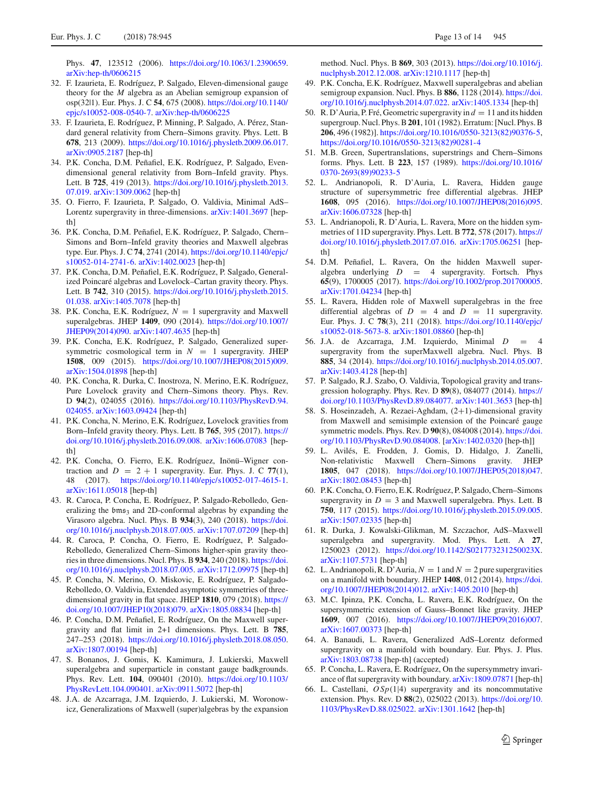Phys. **47**, 123512 (2006). [https://doi.org/10.1063/1.2390659.](https://doi.org/10.1063/1.2390659) [arXiv:hep-th/0606215](http://arxiv.org/abs/hep-th/0606215)

- 32. F. Izaurieta, E. Rodríguez, P. Salgado, Eleven-dimensional gauge theory for the *M* algebra as an Abelian semigroup expansion of osp(32|1). Eur. Phys. J. C **54**, 675 (2008). [https://doi.org/10.1140/](https://doi.org/10.1140/epjc/s10052-008-0540-7) [epjc/s10052-008-0540-7.](https://doi.org/10.1140/epjc/s10052-008-0540-7) [arXiv:hep-th/0606225](http://arxiv.org/abs/hep-th/0606225)
- 33. F. Izaurieta, E. Rodríguez, P. Minning, P. Salgado, A. Pérez, Standard general relativity from Chern–Simons gravity. Phys. Lett. B **678**, 213 (2009). [https://doi.org/10.1016/j.physletb.2009.06.017.](https://doi.org/10.1016/j.physletb.2009.06.017) [arXiv:0905.2187](http://arxiv.org/abs/0905.2187) [hep-th]
- 34. P.K. Concha, D.M. Peñafiel, E.K. Rodríguez, P. Salgado, Evendimensional general relativity from Born–Infeld gravity. Phys. Lett. B **725**, 419 (2013). [https://doi.org/10.1016/j.physletb.2013.](https://doi.org/10.1016/j.physletb.2013.07.019) [07.019.](https://doi.org/10.1016/j.physletb.2013.07.019) [arXiv:1309.0062](http://arxiv.org/abs/1309.0062) [hep-th]
- 35. O. Fierro, F. Izaurieta, P. Salgado, O. Valdivia, Minimal AdS– Lorentz supergravity in three-dimensions. [arXiv:1401.3697](http://arxiv.org/abs/1401.3697) [hepth]
- 36. P.K. Concha, D.M. Peñafiel, E.K. Rodríguez, P. Salgado, Chern– Simons and Born–Infeld gravity theories and Maxwell algebras type. Eur. Phys. J. C **74**, 2741 (2014). [https://doi.org/10.1140/epjc/](https://doi.org/10.1140/epjc/s10052-014-2741-6) [s10052-014-2741-6.](https://doi.org/10.1140/epjc/s10052-014-2741-6) [arXiv:1402.0023](http://arxiv.org/abs/1402.0023) [hep-th]
- 37. P.K. Concha, D.M. Peñafiel, E.K. Rodríguez, P. Salgado, Generalized Poincaré algebras and Lovelock–Cartan gravity theory. Phys. Lett. B **742**, 310 (2015). [https://doi.org/10.1016/j.physletb.2015.](https://doi.org/10.1016/j.physletb.2015.01.038) [01.038.](https://doi.org/10.1016/j.physletb.2015.01.038) [arXiv:1405.7078](http://arxiv.org/abs/1405.7078) [hep-th]
- 38. P.K. Concha, E.K. Rodríguez,  $N = 1$  supergravity and Maxwell superalgebras. JHEP **1409**, 090 (2014). [https://doi.org/10.1007/](https://doi.org/10.1007/JHEP09(2014)090) [JHEP09\(2014\)090.](https://doi.org/10.1007/JHEP09(2014)090) [arXiv:1407.4635](http://arxiv.org/abs/1407.4635) [hep-th]
- 39. P.K. Concha, E.K. Rodríguez, P. Salgado, Generalized supersymmetric cosmological term in  $N = 1$  supergravity. JHEP **1508**, 009 (2015). [https://doi.org/10.1007/JHEP08\(2015\)009.](https://doi.org/10.1007/JHEP08(2015)009) [arXiv:1504.01898](http://arxiv.org/abs/1504.01898) [hep-th]
- 40. P.K. Concha, R. Durka, C. Inostroza, N. Merino, E.K. Rodríguez, Pure Lovelock gravity and Chern–Simons theory. Phys. Rev. D **94**(2), 024055 (2016). [https://doi.org/10.1103/PhysRevD.94.](https://doi.org/10.1103/PhysRevD.94.024055) [024055.](https://doi.org/10.1103/PhysRevD.94.024055) [arXiv:1603.09424](http://arxiv.org/abs/1603.09424) [hep-th]
- 41. P.K. Concha, N. Merino, E.K. Rodríguez, Lovelock gravities from Born–Infeld gravity theory. Phys. Lett. B **765**, 395 (2017). [https://](https://doi.org/10.1016/j.physletb.2016.09.008) [doi.org/10.1016/j.physletb.2016.09.008.](https://doi.org/10.1016/j.physletb.2016.09.008) [arXiv:1606.07083](http://arxiv.org/abs/1606.07083) [hepth<sub>1</sub>
- 42. P.K. Concha, O. Fierro, E.K. Rodríguez, Inönü–Wigner contraction and  $D = 2 + 1$  supergravity. Eur. Phys. J. C 77(1), 48 (2017). [https://doi.org/10.1140/epjc/s10052-017-4615-1.](https://doi.org/10.1140/epjc/s10052-017-4615-1) [arXiv:1611.05018](http://arxiv.org/abs/1611.05018) [hep-th]
- 43. R. Caroca, P. Concha, E. Rodríguez, P. Salgado-Rebolledo, Generalizing the bms<sub>3</sub> and 2D-conformal algebras by expanding the Virasoro algebra. Nucl. Phys. B **934**(3), 240 (2018). [https://doi.](https://doi.org/10.1016/j.nuclphysb.2018.07.005) [org/10.1016/j.nuclphysb.2018.07.005.](https://doi.org/10.1016/j.nuclphysb.2018.07.005) [arXiv:1707.07209](http://arxiv.org/abs/1707.07209) [hep-th]
- 44. R. Caroca, P. Concha, O. Fierro, E. Rodríguez, P. Salgado-Rebolledo, Generalized Chern–Simons higher-spin gravity theories in three dimensions. Nucl. Phys. B **934**, 240 (2018). [https://doi.](https://doi.org/10.1016/j.nuclphysb.2018.07.005) [org/10.1016/j.nuclphysb.2018.07.005.](https://doi.org/10.1016/j.nuclphysb.2018.07.005) [arXiv:1712.09975](http://arxiv.org/abs/1712.09975) [hep-th]
- 45. P. Concha, N. Merino, O. Miskovic, E. Rodríguez, P. Salgado-Rebolledo, O. Valdivia, Extended asymptotic symmetries of threedimensional gravity in flat space. JHEP **1810**, 079 (2018). [https://](https://doi.org/10.1007/JHEP10(2018)079) [doi.org/10.1007/JHEP10\(2018\)079.](https://doi.org/10.1007/JHEP10(2018)079) [arXiv:1805.08834](http://arxiv.org/abs/1805.08834) [hep-th]
- 46. P. Concha, D.M. Peñafiel, E. Rodríguez, On the Maxwell supergravity and flat limit in 2+1 dimensions. Phys. Lett. B **785**, 247–253 (2018). [https://doi.org/10.1016/j.physletb.2018.08.050.](https://doi.org/10.1016/j.physletb.2018.08.050) [arXiv:1807.00194](http://arxiv.org/abs/1807.00194) [hep-th]
- 47. S. Bonanos, J. Gomis, K. Kamimura, J. Lukierski, Maxwell superalgebra and superparticle in constant gauge badkgrounds. Phys. Rev. Lett. **104**, 090401 (2010). [https://doi.org/10.1103/](https://doi.org/10.1103/PhysRevLett.104.090401) [PhysRevLett.104.090401.](https://doi.org/10.1103/PhysRevLett.104.090401) [arXiv:0911.5072](http://arxiv.org/abs/0911.5072) [hep-th]
- 48. J.A. de Azcarraga, J.M. Izquierdo, J. Lukierski, M. Woronowicz, Generalizations of Maxwell (super)algebras by the expansion

method. Nucl. Phys. B **869**, 303 (2013). [https://doi.org/10.1016/j.](https://doi.org/10.1016/j.nuclphysb.2012.12.008) [nuclphysb.2012.12.008.](https://doi.org/10.1016/j.nuclphysb.2012.12.008) [arXiv:1210.1117](http://arxiv.org/abs/1210.1117) [hep-th]

- 49. P.K. Concha, E.K. Rodríguez, Maxwell superalgebras and abelian semigroup expansion. Nucl. Phys. B **886**, 1128 (2014). [https://doi.](https://doi.org/10.1016/j.nuclphysb.2014.07.022) [org/10.1016/j.nuclphysb.2014.07.022.](https://doi.org/10.1016/j.nuclphysb.2014.07.022) [arXiv:1405.1334](http://arxiv.org/abs/1405.1334) [hep-th]
- 50. R. D'Auria, P. Fré, Geometric supergravity in  $d = 11$  and its hidden supergroup. Nucl. Phys. B**201**, 101 (1982). Erratum: [Nucl. Phys. B **206**, 496 (1982)]. [https://doi.org/10.1016/0550-3213\(82\)90376-5,](https://doi.org/10.1016/0550-3213(82)90376-5) [https://doi.org/10.1016/0550-3213\(82\)90281-4](https://doi.org/10.1016/0550-3213(82)90281-4)
- 51. M.B. Green, Supertranslations, superstrings and Chern–Simons forms. Phys. Lett. B **223**, 157 (1989). [https://doi.org/10.1016/](https://doi.org/10.1016/0370-2693(89)90233-5) [0370-2693\(89\)90233-5](https://doi.org/10.1016/0370-2693(89)90233-5)
- 52. L. Andrianopoli, R. D'Auria, L. Ravera, Hidden gauge structure of supersymmetric free differential algebras. JHEP **1608**, 095 (2016). [https://doi.org/10.1007/JHEP08\(2016\)095.](https://doi.org/10.1007/JHEP08(2016)095) [arXiv:1606.07328](http://arxiv.org/abs/1606.07328) [hep-th]
- 53. L. Andrianopoli, R. D'Auria, L. Ravera, More on the hidden symmetries of 11D supergravity. Phys. Lett. B **772**, 578 (2017). [https://](https://doi.org/10.1016/j.physletb.2017.07.016) [doi.org/10.1016/j.physletb.2017.07.016.](https://doi.org/10.1016/j.physletb.2017.07.016) [arXiv:1705.06251](http://arxiv.org/abs/1705.06251) [hepth]
- 54. D.M. Peñafiel, L. Ravera, On the hidden Maxwell superalgebra underlying  $D = 4$  supergravity. Fortsch. Phys **65**(9), 1700005 (2017). [https://doi.org/10.1002/prop.201700005.](https://doi.org/10.1002/prop.201700005) [arXiv:1701.04234](http://arxiv.org/abs/1701.04234) [hep-th]
- 55. L. Ravera, Hidden role of Maxwell superalgebras in the free differential algebras of  $D = 4$  and  $D = 11$  supergravity. Eur. Phys. J. C **78**(3), 211 (2018). [https://doi.org/10.1140/epjc/](https://doi.org/10.1140/epjc/s10052-018-5673-8) [s10052-018-5673-8.](https://doi.org/10.1140/epjc/s10052-018-5673-8) [arXiv:1801.08860](http://arxiv.org/abs/1801.08860) [hep-th]
- 56. J.A. de Azcarraga, J.M. Izquierdo, Minimal *D* = 4 supergravity from the superMaxwell algebra. Nucl. Phys. B **885**, 34 (2014). [https://doi.org/10.1016/j.nuclphysb.2014.05.007.](https://doi.org/10.1016/j.nuclphysb.2014.05.007) [arXiv:1403.4128](http://arxiv.org/abs/1403.4128) [hep-th]
- 57. P. Salgado, R.J. Szabo, O. Valdivia, Topological gravity and transgression holography. Phys. Rev. D **89**(8), 084077 (2014). [https://](https://doi.org/10.1103/PhysRevD.89.084077) [doi.org/10.1103/PhysRevD.89.084077.](https://doi.org/10.1103/PhysRevD.89.084077) [arXiv:1401.3653](http://arxiv.org/abs/1401.3653) [hep-th]
- 58. S. Hoseinzadeh, A. Rezaei-Aghdam, (2+1)-dimensional gravity from Maxwell and semisimple extension of the Poincaré gauge symmetric models. Phys. Rev. D **90**(8), 084008 (2014). [https://doi.](https://doi.org/10.1103/PhysRevD.90.084008) [org/10.1103/PhysRevD.90.084008.](https://doi.org/10.1103/PhysRevD.90.084008) [\[arXiv:1402.0320](http://arxiv.org/abs/1402.0320) [hep-th]]
- 59. L. Avilés, E. Frodden, J. Gomis, D. Hidalgo, J. Zanelli, Non-relativistic Maxwell Chern–Simons gravity. JHEP **1805**, 047 (2018). [https://doi.org/10.1007/JHEP05\(2018\)047.](https://doi.org/10.1007/JHEP05(2018)047) [arXiv:1802.08453](http://arxiv.org/abs/1802.08453) [hep-th]
- 60. P.K. Concha, O. Fierro, E.K. Rodríguez, P. Salgado, Chern–Simons supergravity in  $D = 3$  and Maxwell superalgebra. Phys. Lett. B **750**, 117 (2015). [https://doi.org/10.1016/j.physletb.2015.09.005.](https://doi.org/10.1016/j.physletb.2015.09.005) [arXiv:1507.02335](http://arxiv.org/abs/1507.02335) [hep-th]
- 61. R. Durka, J. Kowalski-Glikman, M. Szczachor, AdS–Maxwell superalgebra and supergravity. Mod. Phys. Lett. A **27**, 1250023 (2012). [https://doi.org/10.1142/S021773231250023X.](https://doi.org/10.1142/S021773231250023X) [arXiv:1107.5731](http://arxiv.org/abs/1107.5731) [hep-th]
- 62. L. Andrianopoli, R. D'Auria,  $N = 1$  and  $N = 2$  pure supergravities on a manifold with boundary. JHEP **1408**, 012 (2014). [https://doi.](https://doi.org/10.1007/JHEP08(2014)012) [org/10.1007/JHEP08\(2014\)012.](https://doi.org/10.1007/JHEP08(2014)012) [arXiv:1405.2010](http://arxiv.org/abs/1405.2010) [hep-th]
- 63. M.C. Ipinza, P.K. Concha, L. Ravera, E.K. Rodríguez, On the supersymmetric extension of Gauss–Bonnet like gravity. JHEP **1609**, 007 (2016). [https://doi.org/10.1007/JHEP09\(2016\)007.](https://doi.org/10.1007/JHEP09(2016)007) [arXiv:1607.00373](http://arxiv.org/abs/1607.00373) [hep-th]
- 64. A. Banaudi, L. Ravera, Generalized AdS–Lorentz deformed supergravity on a manifold with boundary. Eur. Phys. J. Plus. [arXiv:1803.08738](http://arxiv.org/abs/1803.08738) [hep-th] (accepted)
- 65. P. Concha, L. Ravera, E. Rodríguez, On the supersymmetry invariance of flat supergravity with boundary. [arXiv:1809.07871](http://arxiv.org/abs/1809.07871) [hep-th]
- 66. L. Castellani, *OSp*(1|4) supergravity and its noncommutative extension. Phys. Rev. D **88**(2), 025022 (2013). [https://doi.org/10.](https://doi.org/10.1103/PhysRevD.88.025022) [1103/PhysRevD.88.025022.](https://doi.org/10.1103/PhysRevD.88.025022) [arXiv:1301.1642](http://arxiv.org/abs/1301.1642) [hep-th]